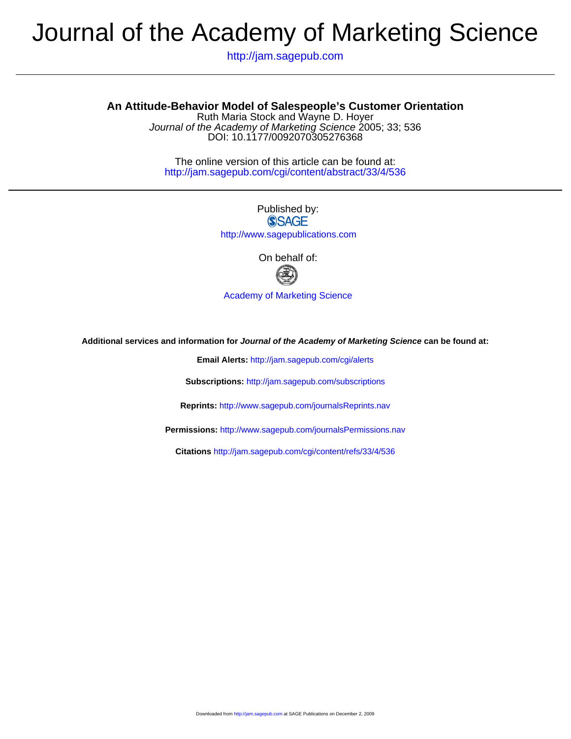# Journal of the Academy of Marketing Science

http://jam.sagepub.com

# **An Attitude-Behavior Model of Salespeople's Customer Orientation**

DOI: 10.1177/0092070305276368 Journal of the Academy of Marketing Science 2005; 33; 536 Ruth Maria Stock and Wayne D. Hoyer

http://jam.sagepub.com/cgi/content/abstract/33/4/536 The online version of this article can be found at:

> Published by: **SSAGE**

http://www.sagepublications.com

On behalf of:



[Academy of Marketing Science](http://www.ams-web.org)

**Additional services and information for Journal of the Academy of Marketing Science can be found at:**

**Email Alerts:** <http://jam.sagepub.com/cgi/alerts>

**Subscriptions:** <http://jam.sagepub.com/subscriptions>

**Reprints:** <http://www.sagepub.com/journalsReprints.nav>

**Permissions:** <http://www.sagepub.com/journalsPermissions.nav>

**Citations** <http://jam.sagepub.com/cgi/content/refs/33/4/536>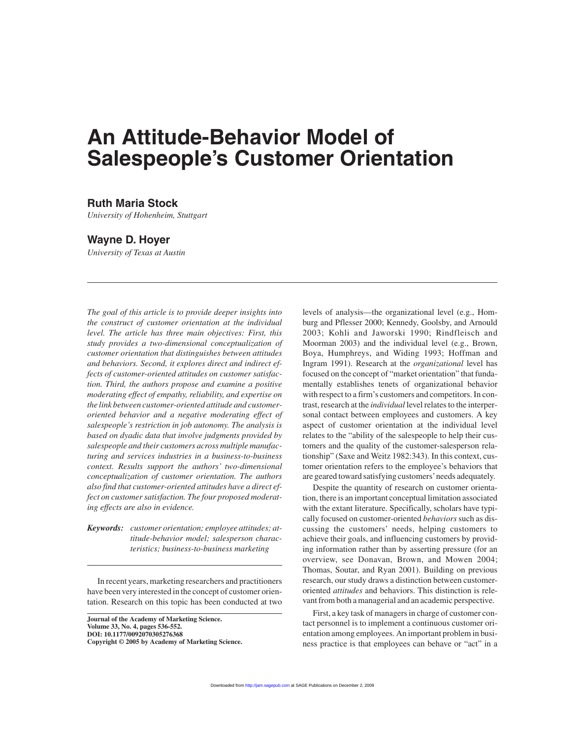# **An Attitude-Behavior Model of Salespeople's Customer Orientation**

# **Ruth Maria Stock**

*University of Hohenheim, Stuttgart*

# **Wayne D. Hoyer**

*University of Texas at Austin*

*The goal of this article is to provide deeper insights into the construct of customer orientation at the individual level. The article has three main objectives: First, this study provides a two-dimensional conceptualization of customer orientation that distinguishes between attitudes and behaviors. Second, it explores direct and indirect effects of customer-oriented attitudes on customer satisfaction. Third, the authors propose and examine a positive moderating effect of empathy, reliability, and expertise on the link between customer-oriented attitude and customeroriented behavior and a negative moderating effect of salespeople's restriction in job autonomy. The analysis is based on dyadic data that involve judgments provided by salespeople and their customers across multiple manufacturing and services industries in a business-to-business context. Results support the authors' two-dimensional conceptualization of customer orientation. The authors also find that customer-oriented attitudes have a direct effect on customer satisfaction. The four proposed moderating effects are also in evidence.*

*Keywords: customer orientation; employee attitudes; attitude-behavior model; salesperson characteristics; business-to-business marketing*

In recent years, marketing researchers and practitioners have been very interested in the concept of customer orientation. Research on this topic has been conducted at two

**Journal of the Academy of Marketing Science. Volume 33, No. 4, pages 536-552. DOI: 10.1177/0092070305276368 Copyright © 2005 by Academy of Marketing Science.** levels of analysis—the organizational level (e.g., Homburg and Pflesser 2000; Kennedy, Goolsby, and Arnould 2003; Kohli and Jaworski 1990; Rindfleisch and Moorman 2003) and the individual level (e.g., Brown, Boya, Humphreys, and Widing 1993; Hoffman and Ingram 1991). Research at the *organizational* level has focused on the concept of "market orientation" that fundamentally establishes tenets of organizational behavior with respect to a firm's customers and competitors. In contrast, research at the *individual* level relates to the interpersonal contact between employees and customers. A key aspect of customer orientation at the individual level relates to the "ability of the salespeople to help their customers and the quality of the customer-salesperson relationship" (Saxe and Weitz 1982:343). In this context, customer orientation refers to the employee's behaviors that are geared toward satisfying customers'needs adequately.

Despite the quantity of research on customer orientation, there is an important conceptual limitation associated with the extant literature. Specifically, scholars have typically focused on customer-oriented *behaviors*such as discussing the customers' needs, helping customers to achieve their goals, and influencing customers by providing information rather than by asserting pressure (for an overview, see Donavan, Brown, and Mowen 2004; Thomas, Soutar, and Ryan 2001). Building on previous research, our study draws a distinction between customeroriented *attitudes* and behaviors. This distinction is relevant from both a managerial and an academic perspective.

First, a key task of managers in charge of customer contact personnel is to implement a continuous customer orientation among employees. An important problem in business practice is that employees can behave or "act" in a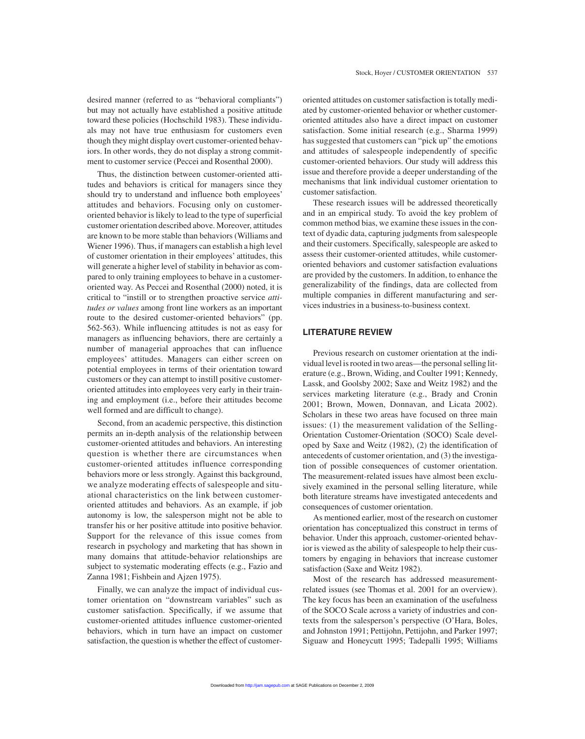Thus, the distinction between customer-oriented attitudes and behaviors is critical for managers since they should try to understand and influence both employees' attitudes and behaviors. Focusing only on customeroriented behavior is likely to lead to the type of superficial customer orientation described above. Moreover, attitudes are known to be more stable than behaviors (Williams and Wiener 1996). Thus, if managers can establish a high level of customer orientation in their employees' attitudes, this will generate a higher level of stability in behavior as compared to only training employees to behave in a customeroriented way. As Peccei and Rosenthal (2000) noted, it is critical to "instill or to strengthen proactive service *attitudes or values* among front line workers as an important route to the desired customer-oriented behaviors" (pp. 562-563). While influencing attitudes is not as easy for managers as influencing behaviors, there are certainly a number of managerial approaches that can influence employees' attitudes. Managers can either screen on potential employees in terms of their orientation toward customers or they can attempt to instill positive customeroriented attitudes into employees very early in their training and employment (i.e., before their attitudes become well formed and are difficult to change).

Second, from an academic perspective, this distinction permits an in-depth analysis of the relationship between customer-oriented attitudes and behaviors. An interesting question is whether there are circumstances when customer-oriented attitudes influence corresponding behaviors more or less strongly. Against this background, we analyze moderating effects of salespeople and situational characteristics on the link between customeroriented attitudes and behaviors. As an example, if job autonomy is low, the salesperson might not be able to transfer his or her positive attitude into positive behavior. Support for the relevance of this issue comes from research in psychology and marketing that has shown in many domains that attitude-behavior relationships are subject to systematic moderating effects (e.g., Fazio and Zanna 1981; Fishbein and Ajzen 1975).

Finally, we can analyze the impact of individual customer orientation on "downstream variables" such as customer satisfaction. Specifically, if we assume that customer-oriented attitudes influence customer-oriented behaviors, which in turn have an impact on customer satisfaction, the question is whether the effect of customeroriented attitudes on customer satisfaction is totally mediated by customer-oriented behavior or whether customeroriented attitudes also have a direct impact on customer satisfaction. Some initial research (e.g., Sharma 1999) has suggested that customers can "pick up" the emotions and attitudes of salespeople independently of specific customer-oriented behaviors. Our study will address this issue and therefore provide a deeper understanding of the mechanisms that link individual customer orientation to customer satisfaction.

These research issues will be addressed theoretically and in an empirical study. To avoid the key problem of common method bias, we examine these issues in the context of dyadic data, capturing judgments from salespeople and their customers. Specifically, salespeople are asked to assess their customer-oriented attitudes, while customeroriented behaviors and customer satisfaction evaluations are provided by the customers. In addition, to enhance the generalizability of the findings, data are collected from multiple companies in different manufacturing and services industries in a business-to-business context.

# **LITERATURE REVIEW**

Previous research on customer orientation at the individual level is rooted in two areas—the personal selling literature (e.g., Brown, Widing, and Coulter 1991; Kennedy, Lassk, and Goolsby 2002; Saxe and Weitz 1982) and the services marketing literature (e.g., Brady and Cronin 2001; Brown, Mowen, Donnavan, and Licata 2002). Scholars in these two areas have focused on three main issues: (1) the measurement validation of the Selling-Orientation Customer-Orientation (SOCO) Scale developed by Saxe and Weitz (1982), (2) the identification of antecedents of customer orientation, and (3) the investigation of possible consequences of customer orientation. The measurement-related issues have almost been exclusively examined in the personal selling literature, while both literature streams have investigated antecedents and consequences of customer orientation.

As mentioned earlier, most of the research on customer orientation has conceptualized this construct in terms of behavior. Under this approach, customer-oriented behavior is viewed as the ability of salespeople to help their customers by engaging in behaviors that increase customer satisfaction (Saxe and Weitz 1982).

Most of the research has addressed measurementrelated issues (see Thomas et al. 2001 for an overview). The key focus has been an examination of the usefulness of the SOCO Scale across a variety of industries and contexts from the salesperson's perspective (O'Hara, Boles, and Johnston 1991; Pettijohn, Pettijohn, and Parker 1997; Siguaw and Honeycutt 1995; Tadepalli 1995; Williams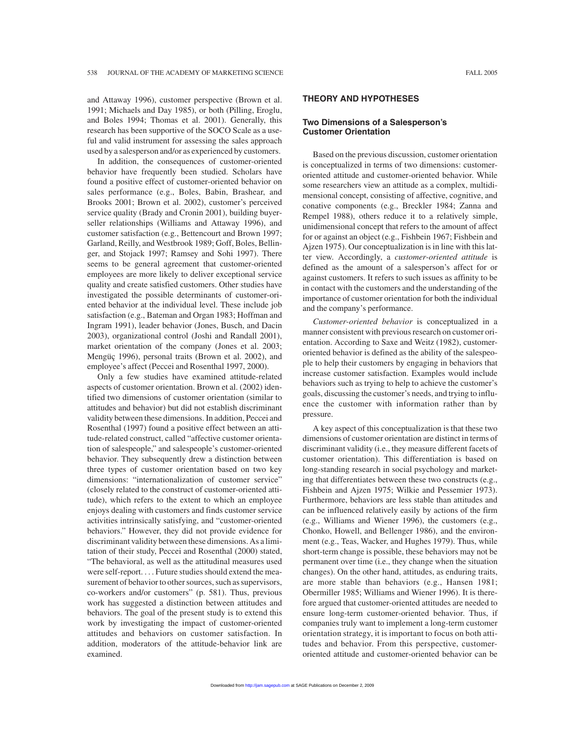and Attaway 1996), customer perspective (Brown et al. 1991; Michaels and Day 1985), or both (Pilling, Eroglu, and Boles 1994; Thomas et al. 2001). Generally, this research has been supportive of the SOCO Scale as a useful and valid instrument for assessing the sales approach used by a salesperson and/or as experienced by customers.

In addition, the consequences of customer-oriented behavior have frequently been studied. Scholars have found a positive effect of customer-oriented behavior on sales performance (e.g., Boles, Babin, Brashear, and Brooks 2001; Brown et al. 2002), customer's perceived service quality (Brady and Cronin 2001), building buyerseller relationships (Williams and Attaway 1996), and customer satisfaction (e.g., Bettencourt and Brown 1997; Garland, Reilly, and Westbrook 1989; Goff, Boles, Bellinger, and Stojack 1997; Ramsey and Sohi 1997). There seems to be general agreement that customer-oriented employees are more likely to deliver exceptional service quality and create satisfied customers. Other studies have investigated the possible determinants of customer-oriented behavior at the individual level. These include job satisfaction (e.g., Bateman and Organ 1983; Hoffman and Ingram 1991), leader behavior (Jones, Busch, and Dacin 2003), organizational control (Joshi and Randall 2001), market orientation of the company (Jones et al. 2003; Mengüç 1996), personal traits (Brown et al. 2002), and employee's affect (Peccei and Rosenthal 1997, 2000).

Only a few studies have examined attitude-related aspects of customer orientation. Brown et al. (2002) identified two dimensions of customer orientation (similar to attitudes and behavior) but did not establish discriminant validity between these dimensions. In addition, Peccei and Rosenthal (1997) found a positive effect between an attitude-related construct, called "affective customer orientation of salespeople," and salespeople's customer-oriented behavior. They subsequently drew a distinction between three types of customer orientation based on two key dimensions: "internationalization of customer service" (closely related to the construct of customer-oriented attitude), which refers to the extent to which an employee enjoys dealing with customers and finds customer service activities intrinsically satisfying, and "customer-oriented behaviors." However, they did not provide evidence for discriminant validity between these dimensions. As a limitation of their study, Peccei and Rosenthal (2000) stated, "The behavioral, as well as the attitudinal measures used were self-report. . . . Future studies should extend the measurement of behavior to other sources, such as supervisors, co-workers and/or customers" (p. 581). Thus, previous work has suggested a distinction between attitudes and behaviors. The goal of the present study is to extend this work by investigating the impact of customer-oriented attitudes and behaviors on customer satisfaction. In addition, moderators of the attitude-behavior link are examined.

### **THEORY AND HYPOTHESES**

# **Two Dimensions of a Salesperson's Customer Orientation**

Based on the previous discussion, customer orientation is conceptualized in terms of two dimensions: customeroriented attitude and customer-oriented behavior. While some researchers view an attitude as a complex, multidimensional concept, consisting of affective, cognitive, and conative components (e.g., Breckler 1984; Zanna and Rempel 1988), others reduce it to a relatively simple, unidimensional concept that refers to the amount of affect for or against an object (e.g., Fishbein 1967; Fishbein and Ajzen 1975). Our conceptualization is in line with this latter view. Accordingly, a *customer-oriented attitude* is defined as the amount of a salesperson's affect for or against customers. It refers to such issues as affinity to be in contact with the customers and the understanding of the importance of customer orientation for both the individual and the company's performance.

*Customer-oriented behavior* is conceptualized in a manner consistent with previous research on customer orientation. According to Saxe and Weitz (1982), customeroriented behavior is defined as the ability of the salespeople to help their customers by engaging in behaviors that increase customer satisfaction. Examples would include behaviors such as trying to help to achieve the customer's goals, discussing the customer's needs, and trying to influence the customer with information rather than by pressure.

A key aspect of this conceptualization is that these two dimensions of customer orientation are distinct in terms of discriminant validity (i.e., they measure different facets of customer orientation). This differentiation is based on long-standing research in social psychology and marketing that differentiates between these two constructs (e.g., Fishbein and Ajzen 1975; Wilkie and Pessemier 1973). Furthermore, behaviors are less stable than attitudes and can be influenced relatively easily by actions of the firm (e.g., Williams and Wiener 1996), the customers (e.g., Chonko, Howell, and Bellenger 1986), and the environment (e.g., Teas, Wacker, and Hughes 1979). Thus, while short-term change is possible, these behaviors may not be permanent over time (i.e., they change when the situation changes). On the other hand, attitudes, as enduring traits, are more stable than behaviors (e.g., Hansen 1981; Obermiller 1985; Williams and Wiener 1996). It is therefore argued that customer-oriented attitudes are needed to ensure long-term customer-oriented behavior. Thus, if companies truly want to implement a long-term customer orientation strategy, it is important to focus on both attitudes and behavior. From this perspective, customeroriented attitude and customer-oriented behavior can be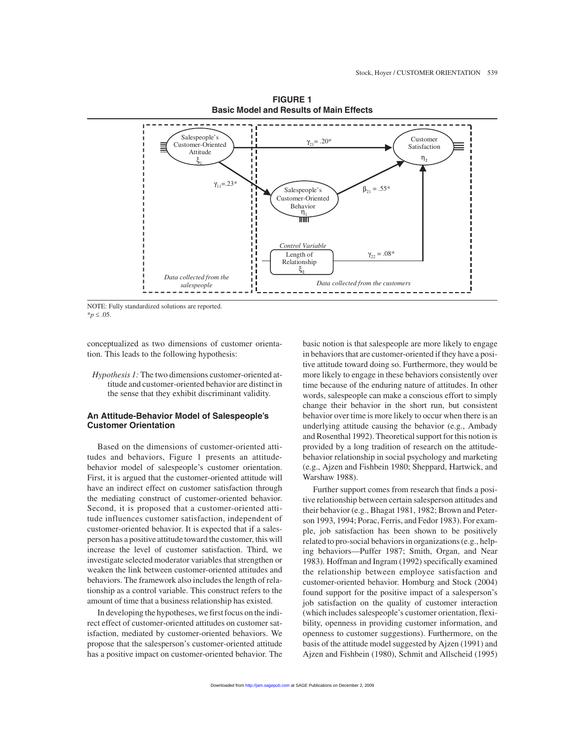

**FIGURE 1 Basic Model and Results of Main Effects**

NOTE: Fully standardized solutions are reported.  $**p* ≤ .05$ .

conceptualized as two dimensions of customer orientation. This leads to the following hypothesis:

*Hypothesis 1:* The two dimensions customer-oriented attitude and customer-oriented behavior are distinct in the sense that they exhibit discriminant validity.

# **An Attitude-Behavior Model of Salespeople's Customer Orientation**

Based on the dimensions of customer-oriented attitudes and behaviors, Figure 1 presents an attitudebehavior model of salespeople's customer orientation. First, it is argued that the customer-oriented attitude will have an indirect effect on customer satisfaction through the mediating construct of customer-oriented behavior. Second, it is proposed that a customer-oriented attitude influences customer satisfaction, independent of customer-oriented behavior. It is expected that if a salesperson has a positive attitude toward the customer, this will increase the level of customer satisfaction. Third, we investigate selected moderator variables that strengthen or weaken the link between customer-oriented attitudes and behaviors. The framework also includes the length of relationship as a control variable. This construct refers to the amount of time that a business relationship has existed.

In developing the hypotheses, we first focus on the indirect effect of customer-oriented attitudes on customer satisfaction, mediated by customer-oriented behaviors. We propose that the salesperson's customer-oriented attitude has a positive impact on customer-oriented behavior. The basic notion is that salespeople are more likely to engage in behaviors that are customer-oriented if they have a positive attitude toward doing so. Furthermore, they would be more likely to engage in these behaviors consistently over time because of the enduring nature of attitudes. In other words, salespeople can make a conscious effort to simply change their behavior in the short run, but consistent behavior over time is more likely to occur when there is an underlying attitude causing the behavior (e.g., Ambady and Rosenthal 1992). Theoretical support for this notion is provided by a long tradition of research on the attitudebehavior relationship in social psychology and marketing (e.g., Ajzen and Fishbein 1980; Sheppard, Hartwick, and Warshaw 1988).

Further support comes from research that finds a positive relationship between certain salesperson attitudes and their behavior (e.g., Bhagat 1981, 1982; Brown and Peterson 1993, 1994; Porac, Ferris, and Fedor 1983). For example, job satisfaction has been shown to be positively related to pro-social behaviors in organizations (e.g., helping behaviors—Puffer 1987; Smith, Organ, and Near 1983). Hoffman and Ingram (1992) specifically examined the relationship between employee satisfaction and customer-oriented behavior. Homburg and Stock (2004) found support for the positive impact of a salesperson's job satisfaction on the quality of customer interaction (which includes salespeople's customer orientation, flexibility, openness in providing customer information, and openness to customer suggestions). Furthermore, on the basis of the attitude model suggested by Ajzen (1991) and Ajzen and Fishbein (1980), Schmit and Allscheid (1995)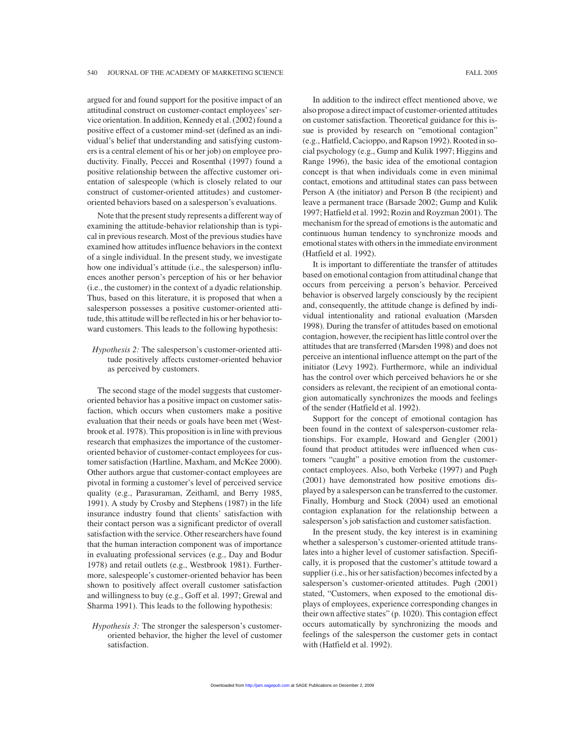argued for and found support for the positive impact of an attitudinal construct on customer-contact employees'service orientation. In addition, Kennedy et al. (2002) found a positive effect of a customer mind-set (defined as an individual's belief that understanding and satisfying customers is a central element of his or her job) on employee productivity. Finally, Peccei and Rosenthal (1997) found a positive relationship between the affective customer orientation of salespeople (which is closely related to our construct of customer-oriented attitudes) and customeroriented behaviors based on a salesperson's evaluations.

Note that the present study represents a different way of examining the attitude-behavior relationship than is typical in previous research. Most of the previous studies have examined how attitudes influence behaviors in the context of a single individual. In the present study, we investigate how one individual's attitude (i.e., the salesperson) influences another person's perception of his or her behavior (i.e., the customer) in the context of a dyadic relationship. Thus, based on this literature, it is proposed that when a salesperson possesses a positive customer-oriented attitude, this attitude will be reflected in his or her behavior toward customers. This leads to the following hypothesis:

*Hypothesis 2:* The salesperson's customer-oriented attitude positively affects customer-oriented behavior as perceived by customers.

The second stage of the model suggests that customeroriented behavior has a positive impact on customer satisfaction, which occurs when customers make a positive evaluation that their needs or goals have been met (Westbrook et al. 1978). This proposition is in line with previous research that emphasizes the importance of the customeroriented behavior of customer-contact employees for customer satisfaction (Hartline, Maxham, and McKee 2000). Other authors argue that customer-contact employees are pivotal in forming a customer's level of perceived service quality (e.g., Parasuraman, Zeithaml, and Berry 1985, 1991). A study by Crosby and Stephens (1987) in the life insurance industry found that clients' satisfaction with their contact person was a significant predictor of overall satisfaction with the service. Other researchers have found that the human interaction component was of importance in evaluating professional services (e.g., Day and Bodur 1978) and retail outlets (e.g., Westbrook 1981). Furthermore, salespeople's customer-oriented behavior has been shown to positively affect overall customer satisfaction and willingness to buy (e.g., Goff et al. 1997; Grewal and Sharma 1991). This leads to the following hypothesis:

*Hypothesis 3:* The stronger the salesperson's customeroriented behavior, the higher the level of customer satisfaction.

In addition to the indirect effect mentioned above, we also propose a direct impact of customer-oriented attitudes on customer satisfaction. Theoretical guidance for this issue is provided by research on "emotional contagion" (e.g., Hatfield, Cacioppo, and Rapson 1992). Rooted in social psychology (e.g., Gump and Kulik 1997; Higgins and Range 1996), the basic idea of the emotional contagion concept is that when individuals come in even minimal contact, emotions and attitudinal states can pass between Person A (the initiator) and Person B (the recipient) and leave a permanent trace (Barsade 2002; Gump and Kulik 1997; Hatfield et al. 1992; Rozin and Royzman 2001). The mechanism for the spread of emotions is the automatic and continuous human tendency to synchronize moods and emotional states with others in the immediate environment

It is important to differentiate the transfer of attitudes based on emotional contagion from attitudinal change that occurs from perceiving a person's behavior. Perceived behavior is observed largely consciously by the recipient and, consequently, the attitude change is defined by individual intentionality and rational evaluation (Marsden 1998). During the transfer of attitudes based on emotional contagion, however, the recipient has little control over the attitudes that are transferred (Marsden 1998) and does not perceive an intentional influence attempt on the part of the initiator (Levy 1992). Furthermore, while an individual has the control over which perceived behaviors he or she considers as relevant, the recipient of an emotional contagion automatically synchronizes the moods and feelings of the sender (Hatfield et al. 1992).

(Hatfield et al. 1992).

Support for the concept of emotional contagion has been found in the context of salesperson-customer relationships. For example, Howard and Gengler (2001) found that product attitudes were influenced when customers "caught" a positive emotion from the customercontact employees. Also, both Verbeke (1997) and Pugh (2001) have demonstrated how positive emotions displayed by a salesperson can be transferred to the customer. Finally, Homburg and Stock (2004) used an emotional contagion explanation for the relationship between a salesperson's job satisfaction and customer satisfaction.

In the present study, the key interest is in examining whether a salesperson's customer-oriented attitude translates into a higher level of customer satisfaction. Specifically, it is proposed that the customer's attitude toward a supplier (i.e., his or her satisfaction) becomes infected by a salesperson's customer-oriented attitudes. Pugh (2001) stated, "Customers, when exposed to the emotional displays of employees, experience corresponding changes in their own affective states" (p. 1020). This contagion effect occurs automatically by synchronizing the moods and feelings of the salesperson the customer gets in contact with (Hatfield et al. 1992).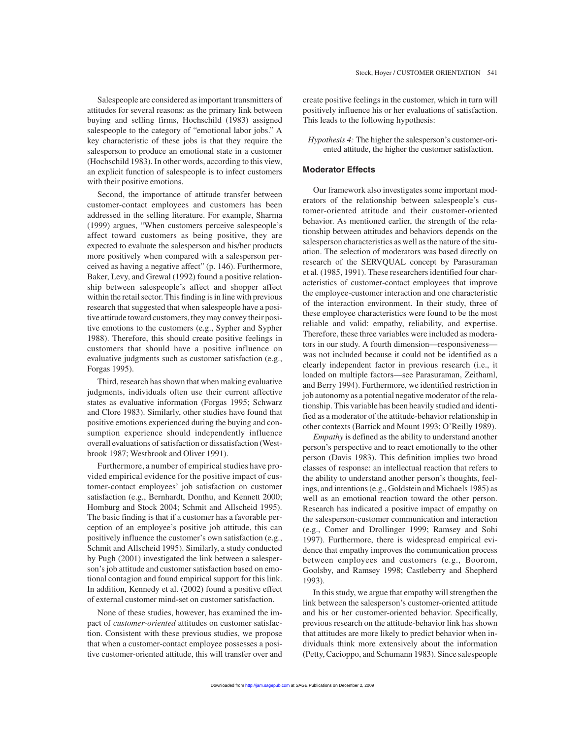Salespeople are considered as important transmitters of attitudes for several reasons: as the primary link between buying and selling firms, Hochschild (1983) assigned salespeople to the category of "emotional labor jobs." A key characteristic of these jobs is that they require the salesperson to produce an emotional state in a customer (Hochschild 1983). In other words, according to this view, an explicit function of salespeople is to infect customers with their positive emotions.

Second, the importance of attitude transfer between customer-contact employees and customers has been addressed in the selling literature. For example, Sharma (1999) argues, "When customers perceive salespeople's affect toward customers as being positive, they are expected to evaluate the salesperson and his/her products more positively when compared with a salesperson perceived as having a negative affect" (p. 146). Furthermore, Baker, Levy, and Grewal (1992) found a positive relationship between salespeople's affect and shopper affect within the retail sector. This finding is in line with previous research that suggested that when salespeople have a positive attitude toward customers, they may convey their positive emotions to the customers (e.g., Sypher and Sypher 1988). Therefore, this should create positive feelings in customers that should have a positive influence on evaluative judgments such as customer satisfaction (e.g., Forgas 1995).

Third, research has shown that when making evaluative judgments, individuals often use their current affective states as evaluative information (Forgas 1995; Schwarz and Clore 1983). Similarly, other studies have found that positive emotions experienced during the buying and consumption experience should independently influence overall evaluations of satisfaction or dissatisfaction (Westbrook 1987; Westbrook and Oliver 1991).

Furthermore, a number of empirical studies have provided empirical evidence for the positive impact of customer-contact employees' job satisfaction on customer satisfaction (e.g., Bernhardt, Donthu, and Kennett 2000; Homburg and Stock 2004; Schmit and Allscheid 1995). The basic finding is that if a customer has a favorable perception of an employee's positive job attitude, this can positively influence the customer's own satisfaction (e.g., Schmit and Allscheid 1995). Similarly, a study conducted by Pugh (2001) investigated the link between a salesperson's job attitude and customer satisfaction based on emotional contagion and found empirical support for this link. In addition, Kennedy et al. (2002) found a positive effect of external customer mind-set on customer satisfaction.

None of these studies, however, has examined the impact of *customer-oriented* attitudes on customer satisfaction. Consistent with these previous studies, we propose that when a customer-contact employee possesses a positive customer-oriented attitude, this will transfer over and create positive feelings in the customer, which in turn will positively influence his or her evaluations of satisfaction. This leads to the following hypothesis:

*Hypothesis 4:* The higher the salesperson's customer-oriented attitude, the higher the customer satisfaction.

# **Moderator Effects**

Our framework also investigates some important moderators of the relationship between salespeople's customer-oriented attitude and their customer-oriented behavior. As mentioned earlier, the strength of the relationship between attitudes and behaviors depends on the salesperson characteristics as well as the nature of the situation. The selection of moderators was based directly on research of the SERVQUAL concept by Parasuraman et al. (1985, 1991). These researchers identified four characteristics of customer-contact employees that improve the employee-customer interaction and one characteristic of the interaction environment. In their study, three of these employee characteristics were found to be the most reliable and valid: empathy, reliability, and expertise. Therefore, these three variables were included as moderators in our study. A fourth dimension—responsiveness was not included because it could not be identified as a clearly independent factor in previous research (i.e., it loaded on multiple factors—see Parasuraman, Zeithaml, and Berry 1994). Furthermore, we identified restriction in job autonomy as a potential negative moderator of the relationship. This variable has been heavily studied and identified as a moderator of the attitude-behavior relationship in other contexts (Barrick and Mount 1993; O'Reilly 1989).

*Empathy* is defined as the ability to understand another person's perspective and to react emotionally to the other person (Davis 1983). This definition implies two broad classes of response: an intellectual reaction that refers to the ability to understand another person's thoughts, feelings, and intentions (e.g., Goldstein and Michaels 1985) as well as an emotional reaction toward the other person. Research has indicated a positive impact of empathy on the salesperson-customer communication and interaction (e.g., Comer and Drollinger 1999; Ramsey and Sohi 1997). Furthermore, there is widespread empirical evidence that empathy improves the communication process between employees and customers (e.g., Boorom, Goolsby, and Ramsey 1998; Castleberry and Shepherd 1993).

In this study, we argue that empathy will strengthen the link between the salesperson's customer-oriented attitude and his or her customer-oriented behavior. Specifically, previous research on the attitude-behavior link has shown that attitudes are more likely to predict behavior when individuals think more extensively about the information (Petty, Cacioppo, and Schumann 1983). Since salespeople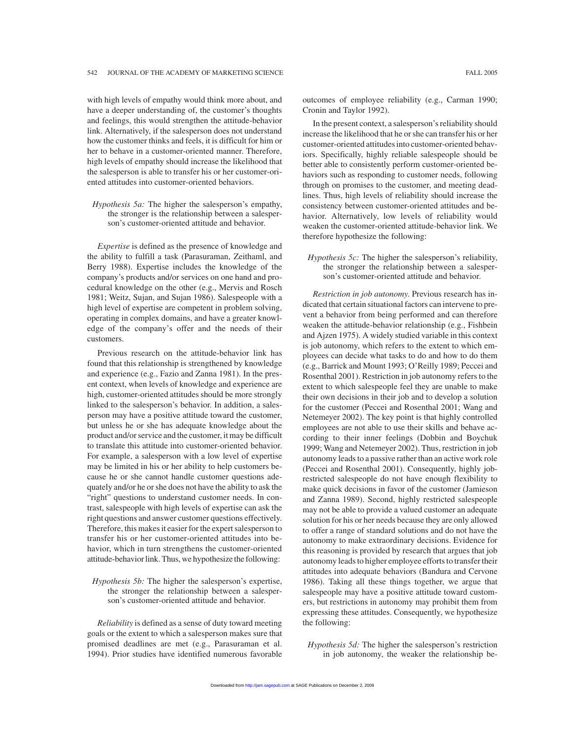with high levels of empathy would think more about, and have a deeper understanding of, the customer's thoughts and feelings, this would strengthen the attitude-behavior link. Alternatively, if the salesperson does not understand how the customer thinks and feels, it is difficult for him or her to behave in a customer-oriented manner. Therefore, high levels of empathy should increase the likelihood that the salesperson is able to transfer his or her customer-oriented attitudes into customer-oriented behaviors.

*Hypothesis 5a:* The higher the salesperson's empathy, the stronger is the relationship between a salesperson's customer-oriented attitude and behavior.

*Expertise* is defined as the presence of knowledge and the ability to fulfill a task (Parasuraman, Zeithaml, and Berry 1988). Expertise includes the knowledge of the company's products and/or services on one hand and procedural knowledge on the other (e.g., Mervis and Rosch 1981; Weitz, Sujan, and Sujan 1986). Salespeople with a high level of expertise are competent in problem solving, operating in complex domains, and have a greater knowledge of the company's offer and the needs of their customers.

Previous research on the attitude-behavior link has found that this relationship is strengthened by knowledge and experience (e.g., Fazio and Zanna 1981). In the present context, when levels of knowledge and experience are high, customer-oriented attitudes should be more strongly linked to the salesperson's behavior. In addition, a salesperson may have a positive attitude toward the customer, but unless he or she has adequate knowledge about the product and/or service and the customer, it may be difficult to translate this attitude into customer-oriented behavior. For example, a salesperson with a low level of expertise may be limited in his or her ability to help customers because he or she cannot handle customer questions adequately and/or he or she does not have the ability to ask the "right" questions to understand customer needs. In contrast, salespeople with high levels of expertise can ask the right questions and answer customer questions effectively. Therefore, this makes it easier for the expert salesperson to transfer his or her customer-oriented attitudes into behavior, which in turn strengthens the customer-oriented attitude-behavior link. Thus, we hypothesize the following:

# *Hypothesis 5b:* The higher the salesperson's expertise, the stronger the relationship between a salesperson's customer-oriented attitude and behavior.

*Reliability* is defined as a sense of duty toward meeting goals or the extent to which a salesperson makes sure that promised deadlines are met (e.g., Parasuraman et al. 1994). Prior studies have identified numerous favorable outcomes of employee reliability (e.g., Carman 1990; Cronin and Taylor 1992).

In the present context, a salesperson's reliability should increase the likelihood that he or she can transfer his or her customer-oriented attitudes into customer-oriented behaviors. Specifically, highly reliable salespeople should be better able to consistently perform customer-oriented behaviors such as responding to customer needs, following through on promises to the customer, and meeting deadlines. Thus, high levels of reliability should increase the consistency between customer-oriented attitudes and behavior. Alternatively, low levels of reliability would weaken the customer-oriented attitude-behavior link. We therefore hypothesize the following:

*Hypothesis 5c:* The higher the salesperson's reliability, the stronger the relationship between a salesperson's customer-oriented attitude and behavior.

*Restriction in job autonomy*. Previous research has indicated that certain situational factors can intervene to prevent a behavior from being performed and can therefore weaken the attitude-behavior relationship (e.g., Fishbein and Ajzen 1975). A widely studied variable in this context is job autonomy, which refers to the extent to which employees can decide what tasks to do and how to do them (e.g., Barrick and Mount 1993; O'Reilly 1989; Peccei and Rosenthal 2001). Restriction in job autonomy refers to the extent to which salespeople feel they are unable to make their own decisions in their job and to develop a solution for the customer (Peccei and Rosenthal 2001; Wang and Netemeyer 2002). The key point is that highly controlled employees are not able to use their skills and behave according to their inner feelings (Dobbin and Boychuk 1999; Wang and Netemeyer 2002). Thus, restriction in job autonomy leads to a passive rather than an active work role (Peccei and Rosenthal 2001). Consequently, highly jobrestricted salespeople do not have enough flexibility to make quick decisions in favor of the customer (Jamieson and Zanna 1989). Second, highly restricted salespeople may not be able to provide a valued customer an adequate solution for his or her needs because they are only allowed to offer a range of standard solutions and do not have the autonomy to make extraordinary decisions. Evidence for this reasoning is provided by research that argues that job autonomy leads to higher employee efforts to transfer their attitudes into adequate behaviors (Bandura and Cervone 1986). Taking all these things together, we argue that salespeople may have a positive attitude toward customers, but restrictions in autonomy may prohibit them from expressing these attitudes. Consequently, we hypothesize the following:

*Hypothesis 5d:* The higher the salesperson's restriction in job autonomy, the weaker the relationship be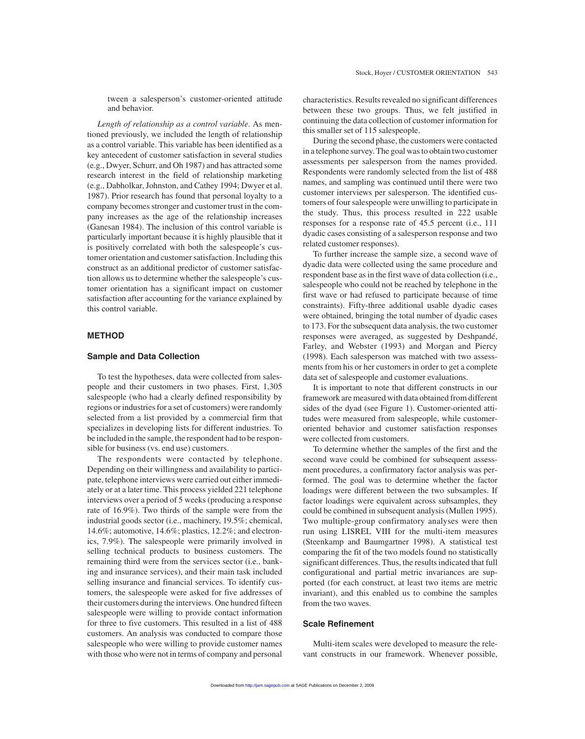tween a salesperson's customer-oriented attitude and behavior.

*Length of relationship as a control variable*. As mentioned previously, we included the length of relationship as a control variable. This variable has been identified as a key antecedent of customer satisfaction in several studies (e.g., Dwyer, Schurr, and Oh 1987) and has attracted some research interest in the field of relationship marketing (e.g., Dabholkar, Johnston, and Cathey 1994; Dwyer et al. 1987). Prior research has found that personal loyalty to a company becomes stronger and customer trust in the company increases as the age of the relationship increases (Ganesan 1984). The inclusion of this control variable is particularly important because it is highly plausible that it is positively correlated with both the salespeople's customer orientation and customer satisfaction. Including this construct as an additional predictor of customer satisfaction allows us to determine whether the salespeople's customer orientation has a significant impact on customer satisfaction after accounting for the variance explained by this control variable.

# **METHOD**

# **Sample and Data Collection**

To test the hypotheses, data were collected from salespeople and their customers in two phases. First, 1,305 salespeople (who had a clearly defined responsibility by regions or industries for a set of customers) were randomly selected from a list provided by a commercial firm that specializes in developing lists for different industries. To be included in the sample, the respondent had to be responsible for business (vs. end use) customers.

The respondents were contacted by telephone. Depending on their willingness and availability to participate, telephone interviews were carried out either immediately or at a later time. This process yielded 221 telephone interviews over a period of 5 weeks (producing a response rate of 16.9%). Two thirds of the sample were from the industrial goods sector (i.e., machinery, 19.5%; chemical, 14.6%; automotive, 14.6%; plastics, 12.2%; and electronics, 7.9%). The salespeople were primarily involved in selling technical products to business customers. The remaining third were from the services sector (i.e., banking and insurance services), and their main task included selling insurance and financial services. To identify customers, the salespeople were asked for five addresses of their customers during the interviews. One hundred fifteen salespeople were willing to provide contact information for three to five customers. This resulted in a list of 488 customers. An analysis was conducted to compare those salespeople who were willing to provide customer names with those who were not in terms of company and personal characteristics. Results revealed no significant differences between these two groups. Thus, we felt justified in continuing the data collection of customer information for this smaller set of 115 salespeople.

During the second phase, the customers were contacted in a telephone survey. The goal was to obtain two customer assessments per salesperson from the names provided. Respondents were randomly selected from the list of 488 names, and sampling was continued until there were two customer interviews per salesperson. The identified customers of four salespeople were unwilling to participate in the study. Thus, this process resulted in 222 usable responses for a response rate of 45.5 percent (i.e., 111 dyadic cases consisting of a salesperson response and two related customer responses).

To further increase the sample size, a second wave of dyadic data were collected using the same procedure and respondent base as in the first wave of data collection (i.e., salespeople who could not be reached by telephone in the first wave or had refused to participate because of time constraints). Fifty-three additional usable dyadic cases were obtained, bringing the total number of dyadic cases to 173. For the subsequent data analysis, the two customer responses were averaged, as suggested by Deshpandé, Farley, and Webster (1993) and Morgan and Piercy (1998). Each salesperson was matched with two assessments from his or her customers in order to get a complete data set of salespeople and customer evaluations.

It is important to note that different constructs in our framework are measured with data obtained from different sides of the dyad (see Figure 1). Customer-oriented attitudes were measured from salespeople, while customeroriented behavior and customer satisfaction responses were collected from customers.

To determine whether the samples of the first and the second wave could be combined for subsequent assessment procedures, a confirmatory factor analysis was performed. The goal was to determine whether the factor loadings were different between the two subsamples. If factor loadings were equivalent across subsamples, they could be combined in subsequent analysis (Mullen 1995). Two multiple-group confirmatory analyses were then run using LISREL VIII for the multi-item measures (Steenkamp and Baumgartner 1998). A statistical test comparing the fit of the two models found no statistically significant differences. Thus, the results indicated that full configurational and partial metric invariances are supported (for each construct, at least two items are metric invariant), and this enabled us to combine the samples from the two waves.

# **Scale Refinement**

Multi-item scales were developed to measure the relevant constructs in our framework. Whenever possible,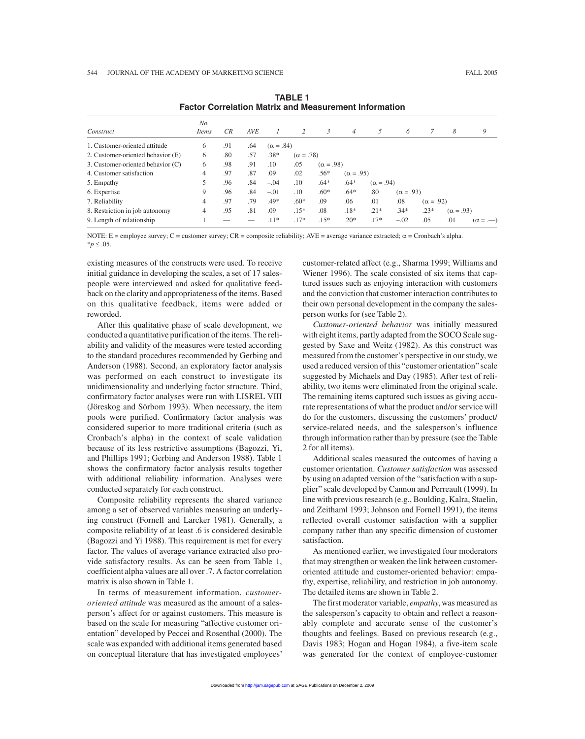| No.<br>Items   | CR  | <b>AVE</b> |        | 2      | 3                | $\overline{4}$   | 5                | 6                |                  | 8                | 9                |
|----------------|-----|------------|--------|--------|------------------|------------------|------------------|------------------|------------------|------------------|------------------|
| 6              | .91 | .64        |        |        |                  |                  |                  |                  |                  |                  |                  |
| 6              | .80 | .57        | $.38*$ |        |                  |                  |                  |                  |                  |                  |                  |
| 6              | .98 | .91        | .10    | .05    |                  |                  |                  |                  |                  |                  |                  |
| 4              | .97 | .87        | .09    | .02    | $.56*$           |                  |                  |                  |                  |                  |                  |
|                | .96 | .84        | $-.04$ | .10    | $.64*$           | $.64*$           |                  |                  |                  |                  |                  |
| 9              | .96 | .84        | $-.01$ | .10    | $.60*$           | $.64*$           | .80              |                  |                  |                  |                  |
| 4              | .97 | .79        | .49*   | $.60*$ | .09              | .06              | .01              | .08              |                  |                  |                  |
| $\overline{4}$ | .95 | .81        | .09    | $.15*$ | .08              | $.18*$           | $.21*$           | $.34*$           | $.23*$           | $(\alpha = .93)$ |                  |
|                |     |            | $.11*$ | $.17*$ | $.15*$           | $.20*$           | $.17*$           | $-.02$           | .05              | .01              | $(\alpha = -$    |
|                |     |            |        |        | $(\alpha = .84)$ | $(\alpha = .78)$ | $(\alpha = .98)$ | $(\alpha = .95)$ | $(\alpha = .94)$ | $(\alpha = .93)$ | $(\alpha = .92)$ |

**TABLE 1 Factor Correlation Matrix and Measurement Information**

NOTE: E = employee survey; C = customer survey; CR = composite reliability; AVE = average variance extracted;  $\alpha$  = Cronbach's alpha.  $*$ *p* ≤ .05.

existing measures of the constructs were used. To receive initial guidance in developing the scales, a set of 17 salespeople were interviewed and asked for qualitative feedback on the clarity and appropriateness of the items. Based on this qualitative feedback, items were added or reworded.

After this qualitative phase of scale development, we conducted a quantitative purification of the items. The reliability and validity of the measures were tested according to the standard procedures recommended by Gerbing and Anderson (1988). Second, an exploratory factor analysis was performed on each construct to investigate its unidimensionality and underlying factor structure. Third, confirmatory factor analyses were run with LISREL VIII (Jöreskog and Sörbom 1993). When necessary, the item pools were purified. Confirmatory factor analysis was considered superior to more traditional criteria (such as Cronbach's alpha) in the context of scale validation because of its less restrictive assumptions (Bagozzi, Yi, and Phillips 1991; Gerbing and Anderson 1988). Table 1 shows the confirmatory factor analysis results together with additional reliability information. Analyses were conducted separately for each construct.

Composite reliability represents the shared variance among a set of observed variables measuring an underlying construct (Fornell and Larcker 1981). Generally, a composite reliability of at least .6 is considered desirable (Bagozzi and Yi 1988). This requirement is met for every factor. The values of average variance extracted also provide satisfactory results. As can be seen from Table 1, coefficient alpha values are all over .7. A factor correlation matrix is also shown in Table 1.

In terms of measurement information, *customeroriented attitude* was measured as the amount of a salesperson's affect for or against customers. This measure is based on the scale for measuring "affective customer orientation" developed by Peccei and Rosenthal (2000). The scale was expanded with additional items generated based on conceptual literature that has investigated employees' customer-related affect (e.g., Sharma 1999; Williams and Wiener 1996). The scale consisted of six items that captured issues such as enjoying interaction with customers and the conviction that customer interaction contributes to their own personal development in the company the salesperson works for (see Table 2).

*Customer-oriented behavior* was initially measured with eight items, partly adapted from the SOCO Scale suggested by Saxe and Weitz (1982). As this construct was measured from the customer's perspective in our study, we used a reduced version of this "customer orientation" scale suggested by Michaels and Day (1985). After test of reliability, two items were eliminated from the original scale. The remaining items captured such issues as giving accurate representations of what the product and/or service will do for the customers, discussing the customers' product/ service-related needs, and the salesperson's influence through information rather than by pressure (see the Table 2 for all items).

Additional scales measured the outcomes of having a customer orientation. *Customer satisfaction* was assessed by using an adapted version of the "satisfaction with a supplier" scale developed by Cannon and Perreault (1999). In line with previous research (e.g., Boulding, Kalra, Staelin, and Zeithaml 1993; Johnson and Fornell 1991), the items reflected overall customer satisfaction with a supplier company rather than any specific dimension of customer satisfaction.

As mentioned earlier, we investigated four moderators that may strengthen or weaken the link between customeroriented attitude and customer-oriented behavior: empathy, expertise, reliability, and restriction in job autonomy. The detailed items are shown in Table 2.

The first moderator variable, *empathy*, was measured as the salesperson's capacity to obtain and reflect a reasonably complete and accurate sense of the customer's thoughts and feelings. Based on previous research (e.g., Davis 1983; Hogan and Hogan 1984), a five-item scale was generated for the context of employee-customer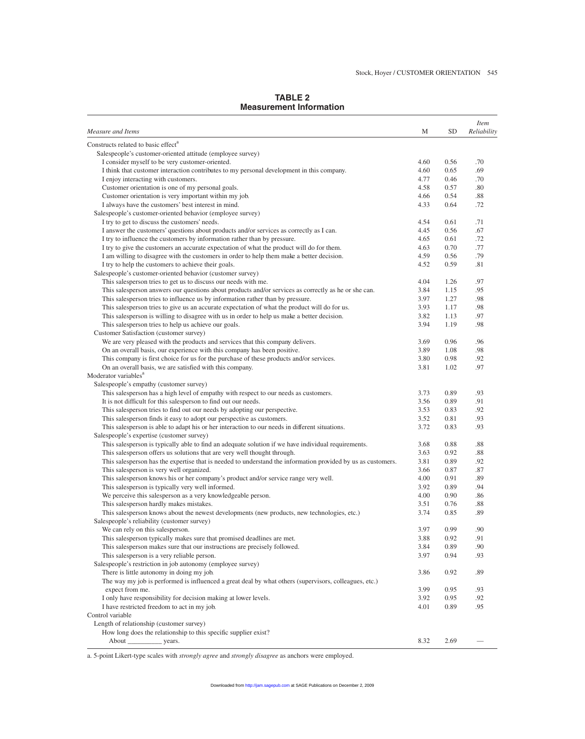# **TABLE 2 Measurement Information**

| Constructs related to basic effect <sup>a</sup><br>Salespeople's customer-oriented attitude (employee survey)<br>I consider myself to be very customer-oriented.<br>0.56<br>.70<br>4.60<br>I think that customer interaction contributes to my personal development in this company.<br>4.60<br>0.65<br>.69<br>I enjoy interacting with customers.<br>4.77<br>0.46<br>.70<br>4.58<br>Customer orientation is one of my personal goals.<br>0.57<br>.80<br>Customer orientation is very important within my job.<br>4.66<br>0.54<br>.88<br>I always have the customers' best interest in mind.<br>4.33<br>0.64<br>.72<br>Salespeople's customer-oriented behavior (employee survey)<br>I try to get to discuss the customers' needs.<br>4.54<br>0.61<br>.71<br>I answer the customers' questions about products and/or services as correctly as I can.<br>4.45<br>0.56<br>.67<br>.72<br>I try to influence the customers by information rather than by pressure.<br>4.65<br>0.61<br>.77<br>I try to give the customers an accurate expectation of what the product will do for them.<br>4.63<br>0.70<br>I am willing to disagree with the customers in order to help them make a better decision.<br>4.59<br>.79<br>0.56<br>4.52<br>I try to help the customers to achieve their goals.<br>0.59<br>.81<br>Salespeople's customer-oriented behavior (customer survey)<br>This salesperson tries to get us to discuss our needs with me.<br>4.04<br>1.26<br>.97<br>This salesperson answers our questions about products and/or services as correctly as he or she can.<br>3.84<br>1.15<br>.95<br>This salesperson tries to influence us by information rather than by pressure.<br>3.97<br>1.27<br>.98<br>This salesperson tries to give us an accurate expectation of what the product will do for us.<br>3.93<br>1.17<br>.98<br>.97<br>This salesperson is willing to disagree with us in order to help us make a better decision.<br>3.82<br>1.13<br>This salesperson tries to help us achieve our goals.<br>3.94<br>1.19<br>.98<br>Customer Satisfaction (customer survey)<br>We are very pleased with the products and services that this company delivers.<br>3.69<br>0.96<br>.96<br>On an overall basis, our experience with this company has been positive.<br>3.89<br>1.08<br>.98<br>This company is first choice for us for the purchase of these products and/or services.<br>.92<br>3.80<br>0.98<br>3.81<br>.97<br>On an overall basis, we are satisfied with this company.<br>1.02<br>Salespeople's empathy (customer survey)<br>This salesperson has a high level of empathy with respect to our needs as customers.<br>3.73<br>0.89<br>.93<br>It is not difficult for this salesperson to find out our needs.<br>3.56<br>0.89<br>.91<br>.92<br>This salesperson tries to find out our needs by adopting our perspective.<br>3.53<br>0.83<br>3.52<br>.93<br>This salesperson finds it easy to adopt our perspective as customers.<br>0.81<br>This salesperson is able to adapt his or her interaction to our needs in different situations.<br>3.72<br>0.83<br>.93<br>Salespeople's expertise (customer survey)<br>This salesperson is typically able to find an adequate solution if we have individual requirements.<br>0.88<br>.88<br>3.68<br>This salesperson offers us solutions that are very well thought through.<br>3.63<br>0.92<br>.88<br>This salesperson has the expertise that is needed to understand the information provided by us as customers.<br>3.81<br>0.89<br>.92<br>0.87<br>This salesperson is very well organized.<br>.87<br>3.66<br>This salesperson knows his or her company's product and/or service range very well.<br>4.00<br>0.91<br>.89<br>This salesperson is typically very well informed.<br>3.92<br>0.89<br>.94<br>We perceive this salesperson as a very knowledgeable person.<br>4.00<br>0.90<br>.86<br>This salesperson hardly makes mistakes.<br>3.51<br>0.76<br>.88<br>0.85<br>This salesperson knows about the newest developments (new products, new technologies, etc.)<br>3.74<br>.89<br>Salespeople's reliability (customer survey)<br>We can rely on this salesperson.<br>3.97<br>0.99<br>.90<br>This salesperson typically makes sure that promised deadlines are met.<br>3.88<br>0.92<br>.91<br>This salesperson makes sure that our instructions are precisely followed.<br>3.84<br>0.89<br>.90<br>This salesperson is a very reliable person.<br>3.97<br>0.94<br>.93<br>Salespeople's restriction in job autonomy (employee survey)<br>There is little autonomy in doing my job.<br>3.86<br>0.92<br>.89<br>The way my job is performed is influenced a great deal by what others (supervisors, colleagues, etc.)<br>expect from me.<br>0.95<br>.93<br>3.99<br>I only have responsibility for decision making at lower levels.<br>3.92<br>0.95<br>.92<br>I have restricted freedom to act in my job.<br>4.01<br>0.89<br>.95<br>Length of relationship (customer survey)<br>How long does the relationship to this specific supplier exist?<br>8.32<br>2.69 | Measure and Items                | М | <b>SD</b> | <i>Item</i><br>Reliability |
|--------------------------------------------------------------------------------------------------------------------------------------------------------------------------------------------------------------------------------------------------------------------------------------------------------------------------------------------------------------------------------------------------------------------------------------------------------------------------------------------------------------------------------------------------------------------------------------------------------------------------------------------------------------------------------------------------------------------------------------------------------------------------------------------------------------------------------------------------------------------------------------------------------------------------------------------------------------------------------------------------------------------------------------------------------------------------------------------------------------------------------------------------------------------------------------------------------------------------------------------------------------------------------------------------------------------------------------------------------------------------------------------------------------------------------------------------------------------------------------------------------------------------------------------------------------------------------------------------------------------------------------------------------------------------------------------------------------------------------------------------------------------------------------------------------------------------------------------------------------------------------------------------------------------------------------------------------------------------------------------------------------------------------------------------------------------------------------------------------------------------------------------------------------------------------------------------------------------------------------------------------------------------------------------------------------------------------------------------------------------------------------------------------------------------------------------------------------------------------------------------------------------------------------------------------------------------------------------------------------------------------------------------------------------------------------------------------------------------------------------------------------------------------------------------------------------------------------------------------------------------------------------------------------------------------------------------------------------------------------------------------------------------------------------------------------------------------------------------------------------------------------------------------------------------------------------------------------------------------------------------------------------------------------------------------------------------------------------------------------------------------------------------------------------------------------------------------------------------------------------------------------------------------------------------------------------------------------------------------------------------------------------------------------------------------------------------------------------------------------------------------------------------------------------------------------------------------------------------------------------------------------------------------------------------------------------------------------------------------------------------------------------------------------------------------------------------------------------------------------------------------------------------------------------------------------------------------------------------------------------------------------------------------------------------------------------------------------------------------------------------------------------------------------------------------------------------------------------------------------------------------------------------------------------------------------------------------------------------------------------------------------------------------------------------------------------------------------------------------------------------------------------------------------------------------------------------------------------------------------------------------------------------------------------------------------------------------------------------------------------------------------------------|----------------------------------|---|-----------|----------------------------|
|                                                                                                                                                                                                                                                                                                                                                                                                                                                                                                                                                                                                                                                                                                                                                                                                                                                                                                                                                                                                                                                                                                                                                                                                                                                                                                                                                                                                                                                                                                                                                                                                                                                                                                                                                                                                                                                                                                                                                                                                                                                                                                                                                                                                                                                                                                                                                                                                                                                                                                                                                                                                                                                                                                                                                                                                                                                                                                                                                                                                                                                                                                                                                                                                                                                                                                                                                                                                                                                                                                                                                                                                                                                                                                                                                                                                                                                                                                                                                                                                                                                                                                                                                                                                                                                                                                                                                                                                                                                                                                                                                                                                                                                                                                                                                                                                                                                                                                                                                                                                                          |                                  |   |           |                            |
|                                                                                                                                                                                                                                                                                                                                                                                                                                                                                                                                                                                                                                                                                                                                                                                                                                                                                                                                                                                                                                                                                                                                                                                                                                                                                                                                                                                                                                                                                                                                                                                                                                                                                                                                                                                                                                                                                                                                                                                                                                                                                                                                                                                                                                                                                                                                                                                                                                                                                                                                                                                                                                                                                                                                                                                                                                                                                                                                                                                                                                                                                                                                                                                                                                                                                                                                                                                                                                                                                                                                                                                                                                                                                                                                                                                                                                                                                                                                                                                                                                                                                                                                                                                                                                                                                                                                                                                                                                                                                                                                                                                                                                                                                                                                                                                                                                                                                                                                                                                                                          |                                  |   |           |                            |
|                                                                                                                                                                                                                                                                                                                                                                                                                                                                                                                                                                                                                                                                                                                                                                                                                                                                                                                                                                                                                                                                                                                                                                                                                                                                                                                                                                                                                                                                                                                                                                                                                                                                                                                                                                                                                                                                                                                                                                                                                                                                                                                                                                                                                                                                                                                                                                                                                                                                                                                                                                                                                                                                                                                                                                                                                                                                                                                                                                                                                                                                                                                                                                                                                                                                                                                                                                                                                                                                                                                                                                                                                                                                                                                                                                                                                                                                                                                                                                                                                                                                                                                                                                                                                                                                                                                                                                                                                                                                                                                                                                                                                                                                                                                                                                                                                                                                                                                                                                                                                          |                                  |   |           |                            |
|                                                                                                                                                                                                                                                                                                                                                                                                                                                                                                                                                                                                                                                                                                                                                                                                                                                                                                                                                                                                                                                                                                                                                                                                                                                                                                                                                                                                                                                                                                                                                                                                                                                                                                                                                                                                                                                                                                                                                                                                                                                                                                                                                                                                                                                                                                                                                                                                                                                                                                                                                                                                                                                                                                                                                                                                                                                                                                                                                                                                                                                                                                                                                                                                                                                                                                                                                                                                                                                                                                                                                                                                                                                                                                                                                                                                                                                                                                                                                                                                                                                                                                                                                                                                                                                                                                                                                                                                                                                                                                                                                                                                                                                                                                                                                                                                                                                                                                                                                                                                                          |                                  |   |           |                            |
|                                                                                                                                                                                                                                                                                                                                                                                                                                                                                                                                                                                                                                                                                                                                                                                                                                                                                                                                                                                                                                                                                                                                                                                                                                                                                                                                                                                                                                                                                                                                                                                                                                                                                                                                                                                                                                                                                                                                                                                                                                                                                                                                                                                                                                                                                                                                                                                                                                                                                                                                                                                                                                                                                                                                                                                                                                                                                                                                                                                                                                                                                                                                                                                                                                                                                                                                                                                                                                                                                                                                                                                                                                                                                                                                                                                                                                                                                                                                                                                                                                                                                                                                                                                                                                                                                                                                                                                                                                                                                                                                                                                                                                                                                                                                                                                                                                                                                                                                                                                                                          |                                  |   |           |                            |
|                                                                                                                                                                                                                                                                                                                                                                                                                                                                                                                                                                                                                                                                                                                                                                                                                                                                                                                                                                                                                                                                                                                                                                                                                                                                                                                                                                                                                                                                                                                                                                                                                                                                                                                                                                                                                                                                                                                                                                                                                                                                                                                                                                                                                                                                                                                                                                                                                                                                                                                                                                                                                                                                                                                                                                                                                                                                                                                                                                                                                                                                                                                                                                                                                                                                                                                                                                                                                                                                                                                                                                                                                                                                                                                                                                                                                                                                                                                                                                                                                                                                                                                                                                                                                                                                                                                                                                                                                                                                                                                                                                                                                                                                                                                                                                                                                                                                                                                                                                                                                          |                                  |   |           |                            |
|                                                                                                                                                                                                                                                                                                                                                                                                                                                                                                                                                                                                                                                                                                                                                                                                                                                                                                                                                                                                                                                                                                                                                                                                                                                                                                                                                                                                                                                                                                                                                                                                                                                                                                                                                                                                                                                                                                                                                                                                                                                                                                                                                                                                                                                                                                                                                                                                                                                                                                                                                                                                                                                                                                                                                                                                                                                                                                                                                                                                                                                                                                                                                                                                                                                                                                                                                                                                                                                                                                                                                                                                                                                                                                                                                                                                                                                                                                                                                                                                                                                                                                                                                                                                                                                                                                                                                                                                                                                                                                                                                                                                                                                                                                                                                                                                                                                                                                                                                                                                                          |                                  |   |           |                            |
|                                                                                                                                                                                                                                                                                                                                                                                                                                                                                                                                                                                                                                                                                                                                                                                                                                                                                                                                                                                                                                                                                                                                                                                                                                                                                                                                                                                                                                                                                                                                                                                                                                                                                                                                                                                                                                                                                                                                                                                                                                                                                                                                                                                                                                                                                                                                                                                                                                                                                                                                                                                                                                                                                                                                                                                                                                                                                                                                                                                                                                                                                                                                                                                                                                                                                                                                                                                                                                                                                                                                                                                                                                                                                                                                                                                                                                                                                                                                                                                                                                                                                                                                                                                                                                                                                                                                                                                                                                                                                                                                                                                                                                                                                                                                                                                                                                                                                                                                                                                                                          |                                  |   |           |                            |
|                                                                                                                                                                                                                                                                                                                                                                                                                                                                                                                                                                                                                                                                                                                                                                                                                                                                                                                                                                                                                                                                                                                                                                                                                                                                                                                                                                                                                                                                                                                                                                                                                                                                                                                                                                                                                                                                                                                                                                                                                                                                                                                                                                                                                                                                                                                                                                                                                                                                                                                                                                                                                                                                                                                                                                                                                                                                                                                                                                                                                                                                                                                                                                                                                                                                                                                                                                                                                                                                                                                                                                                                                                                                                                                                                                                                                                                                                                                                                                                                                                                                                                                                                                                                                                                                                                                                                                                                                                                                                                                                                                                                                                                                                                                                                                                                                                                                                                                                                                                                                          |                                  |   |           |                            |
|                                                                                                                                                                                                                                                                                                                                                                                                                                                                                                                                                                                                                                                                                                                                                                                                                                                                                                                                                                                                                                                                                                                                                                                                                                                                                                                                                                                                                                                                                                                                                                                                                                                                                                                                                                                                                                                                                                                                                                                                                                                                                                                                                                                                                                                                                                                                                                                                                                                                                                                                                                                                                                                                                                                                                                                                                                                                                                                                                                                                                                                                                                                                                                                                                                                                                                                                                                                                                                                                                                                                                                                                                                                                                                                                                                                                                                                                                                                                                                                                                                                                                                                                                                                                                                                                                                                                                                                                                                                                                                                                                                                                                                                                                                                                                                                                                                                                                                                                                                                                                          |                                  |   |           |                            |
|                                                                                                                                                                                                                                                                                                                                                                                                                                                                                                                                                                                                                                                                                                                                                                                                                                                                                                                                                                                                                                                                                                                                                                                                                                                                                                                                                                                                                                                                                                                                                                                                                                                                                                                                                                                                                                                                                                                                                                                                                                                                                                                                                                                                                                                                                                                                                                                                                                                                                                                                                                                                                                                                                                                                                                                                                                                                                                                                                                                                                                                                                                                                                                                                                                                                                                                                                                                                                                                                                                                                                                                                                                                                                                                                                                                                                                                                                                                                                                                                                                                                                                                                                                                                                                                                                                                                                                                                                                                                                                                                                                                                                                                                                                                                                                                                                                                                                                                                                                                                                          |                                  |   |           |                            |
|                                                                                                                                                                                                                                                                                                                                                                                                                                                                                                                                                                                                                                                                                                                                                                                                                                                                                                                                                                                                                                                                                                                                                                                                                                                                                                                                                                                                                                                                                                                                                                                                                                                                                                                                                                                                                                                                                                                                                                                                                                                                                                                                                                                                                                                                                                                                                                                                                                                                                                                                                                                                                                                                                                                                                                                                                                                                                                                                                                                                                                                                                                                                                                                                                                                                                                                                                                                                                                                                                                                                                                                                                                                                                                                                                                                                                                                                                                                                                                                                                                                                                                                                                                                                                                                                                                                                                                                                                                                                                                                                                                                                                                                                                                                                                                                                                                                                                                                                                                                                                          |                                  |   |           |                            |
|                                                                                                                                                                                                                                                                                                                                                                                                                                                                                                                                                                                                                                                                                                                                                                                                                                                                                                                                                                                                                                                                                                                                                                                                                                                                                                                                                                                                                                                                                                                                                                                                                                                                                                                                                                                                                                                                                                                                                                                                                                                                                                                                                                                                                                                                                                                                                                                                                                                                                                                                                                                                                                                                                                                                                                                                                                                                                                                                                                                                                                                                                                                                                                                                                                                                                                                                                                                                                                                                                                                                                                                                                                                                                                                                                                                                                                                                                                                                                                                                                                                                                                                                                                                                                                                                                                                                                                                                                                                                                                                                                                                                                                                                                                                                                                                                                                                                                                                                                                                                                          |                                  |   |           |                            |
|                                                                                                                                                                                                                                                                                                                                                                                                                                                                                                                                                                                                                                                                                                                                                                                                                                                                                                                                                                                                                                                                                                                                                                                                                                                                                                                                                                                                                                                                                                                                                                                                                                                                                                                                                                                                                                                                                                                                                                                                                                                                                                                                                                                                                                                                                                                                                                                                                                                                                                                                                                                                                                                                                                                                                                                                                                                                                                                                                                                                                                                                                                                                                                                                                                                                                                                                                                                                                                                                                                                                                                                                                                                                                                                                                                                                                                                                                                                                                                                                                                                                                                                                                                                                                                                                                                                                                                                                                                                                                                                                                                                                                                                                                                                                                                                                                                                                                                                                                                                                                          |                                  |   |           |                            |
|                                                                                                                                                                                                                                                                                                                                                                                                                                                                                                                                                                                                                                                                                                                                                                                                                                                                                                                                                                                                                                                                                                                                                                                                                                                                                                                                                                                                                                                                                                                                                                                                                                                                                                                                                                                                                                                                                                                                                                                                                                                                                                                                                                                                                                                                                                                                                                                                                                                                                                                                                                                                                                                                                                                                                                                                                                                                                                                                                                                                                                                                                                                                                                                                                                                                                                                                                                                                                                                                                                                                                                                                                                                                                                                                                                                                                                                                                                                                                                                                                                                                                                                                                                                                                                                                                                                                                                                                                                                                                                                                                                                                                                                                                                                                                                                                                                                                                                                                                                                                                          |                                  |   |           |                            |
|                                                                                                                                                                                                                                                                                                                                                                                                                                                                                                                                                                                                                                                                                                                                                                                                                                                                                                                                                                                                                                                                                                                                                                                                                                                                                                                                                                                                                                                                                                                                                                                                                                                                                                                                                                                                                                                                                                                                                                                                                                                                                                                                                                                                                                                                                                                                                                                                                                                                                                                                                                                                                                                                                                                                                                                                                                                                                                                                                                                                                                                                                                                                                                                                                                                                                                                                                                                                                                                                                                                                                                                                                                                                                                                                                                                                                                                                                                                                                                                                                                                                                                                                                                                                                                                                                                                                                                                                                                                                                                                                                                                                                                                                                                                                                                                                                                                                                                                                                                                                                          |                                  |   |           |                            |
|                                                                                                                                                                                                                                                                                                                                                                                                                                                                                                                                                                                                                                                                                                                                                                                                                                                                                                                                                                                                                                                                                                                                                                                                                                                                                                                                                                                                                                                                                                                                                                                                                                                                                                                                                                                                                                                                                                                                                                                                                                                                                                                                                                                                                                                                                                                                                                                                                                                                                                                                                                                                                                                                                                                                                                                                                                                                                                                                                                                                                                                                                                                                                                                                                                                                                                                                                                                                                                                                                                                                                                                                                                                                                                                                                                                                                                                                                                                                                                                                                                                                                                                                                                                                                                                                                                                                                                                                                                                                                                                                                                                                                                                                                                                                                                                                                                                                                                                                                                                                                          |                                  |   |           |                            |
|                                                                                                                                                                                                                                                                                                                                                                                                                                                                                                                                                                                                                                                                                                                                                                                                                                                                                                                                                                                                                                                                                                                                                                                                                                                                                                                                                                                                                                                                                                                                                                                                                                                                                                                                                                                                                                                                                                                                                                                                                                                                                                                                                                                                                                                                                                                                                                                                                                                                                                                                                                                                                                                                                                                                                                                                                                                                                                                                                                                                                                                                                                                                                                                                                                                                                                                                                                                                                                                                                                                                                                                                                                                                                                                                                                                                                                                                                                                                                                                                                                                                                                                                                                                                                                                                                                                                                                                                                                                                                                                                                                                                                                                                                                                                                                                                                                                                                                                                                                                                                          |                                  |   |           |                            |
|                                                                                                                                                                                                                                                                                                                                                                                                                                                                                                                                                                                                                                                                                                                                                                                                                                                                                                                                                                                                                                                                                                                                                                                                                                                                                                                                                                                                                                                                                                                                                                                                                                                                                                                                                                                                                                                                                                                                                                                                                                                                                                                                                                                                                                                                                                                                                                                                                                                                                                                                                                                                                                                                                                                                                                                                                                                                                                                                                                                                                                                                                                                                                                                                                                                                                                                                                                                                                                                                                                                                                                                                                                                                                                                                                                                                                                                                                                                                                                                                                                                                                                                                                                                                                                                                                                                                                                                                                                                                                                                                                                                                                                                                                                                                                                                                                                                                                                                                                                                                                          |                                  |   |           |                            |
|                                                                                                                                                                                                                                                                                                                                                                                                                                                                                                                                                                                                                                                                                                                                                                                                                                                                                                                                                                                                                                                                                                                                                                                                                                                                                                                                                                                                                                                                                                                                                                                                                                                                                                                                                                                                                                                                                                                                                                                                                                                                                                                                                                                                                                                                                                                                                                                                                                                                                                                                                                                                                                                                                                                                                                                                                                                                                                                                                                                                                                                                                                                                                                                                                                                                                                                                                                                                                                                                                                                                                                                                                                                                                                                                                                                                                                                                                                                                                                                                                                                                                                                                                                                                                                                                                                                                                                                                                                                                                                                                                                                                                                                                                                                                                                                                                                                                                                                                                                                                                          |                                  |   |           |                            |
|                                                                                                                                                                                                                                                                                                                                                                                                                                                                                                                                                                                                                                                                                                                                                                                                                                                                                                                                                                                                                                                                                                                                                                                                                                                                                                                                                                                                                                                                                                                                                                                                                                                                                                                                                                                                                                                                                                                                                                                                                                                                                                                                                                                                                                                                                                                                                                                                                                                                                                                                                                                                                                                                                                                                                                                                                                                                                                                                                                                                                                                                                                                                                                                                                                                                                                                                                                                                                                                                                                                                                                                                                                                                                                                                                                                                                                                                                                                                                                                                                                                                                                                                                                                                                                                                                                                                                                                                                                                                                                                                                                                                                                                                                                                                                                                                                                                                                                                                                                                                                          |                                  |   |           |                            |
|                                                                                                                                                                                                                                                                                                                                                                                                                                                                                                                                                                                                                                                                                                                                                                                                                                                                                                                                                                                                                                                                                                                                                                                                                                                                                                                                                                                                                                                                                                                                                                                                                                                                                                                                                                                                                                                                                                                                                                                                                                                                                                                                                                                                                                                                                                                                                                                                                                                                                                                                                                                                                                                                                                                                                                                                                                                                                                                                                                                                                                                                                                                                                                                                                                                                                                                                                                                                                                                                                                                                                                                                                                                                                                                                                                                                                                                                                                                                                                                                                                                                                                                                                                                                                                                                                                                                                                                                                                                                                                                                                                                                                                                                                                                                                                                                                                                                                                                                                                                                                          |                                  |   |           |                            |
|                                                                                                                                                                                                                                                                                                                                                                                                                                                                                                                                                                                                                                                                                                                                                                                                                                                                                                                                                                                                                                                                                                                                                                                                                                                                                                                                                                                                                                                                                                                                                                                                                                                                                                                                                                                                                                                                                                                                                                                                                                                                                                                                                                                                                                                                                                                                                                                                                                                                                                                                                                                                                                                                                                                                                                                                                                                                                                                                                                                                                                                                                                                                                                                                                                                                                                                                                                                                                                                                                                                                                                                                                                                                                                                                                                                                                                                                                                                                                                                                                                                                                                                                                                                                                                                                                                                                                                                                                                                                                                                                                                                                                                                                                                                                                                                                                                                                                                                                                                                                                          |                                  |   |           |                            |
|                                                                                                                                                                                                                                                                                                                                                                                                                                                                                                                                                                                                                                                                                                                                                                                                                                                                                                                                                                                                                                                                                                                                                                                                                                                                                                                                                                                                                                                                                                                                                                                                                                                                                                                                                                                                                                                                                                                                                                                                                                                                                                                                                                                                                                                                                                                                                                                                                                                                                                                                                                                                                                                                                                                                                                                                                                                                                                                                                                                                                                                                                                                                                                                                                                                                                                                                                                                                                                                                                                                                                                                                                                                                                                                                                                                                                                                                                                                                                                                                                                                                                                                                                                                                                                                                                                                                                                                                                                                                                                                                                                                                                                                                                                                                                                                                                                                                                                                                                                                                                          |                                  |   |           |                            |
|                                                                                                                                                                                                                                                                                                                                                                                                                                                                                                                                                                                                                                                                                                                                                                                                                                                                                                                                                                                                                                                                                                                                                                                                                                                                                                                                                                                                                                                                                                                                                                                                                                                                                                                                                                                                                                                                                                                                                                                                                                                                                                                                                                                                                                                                                                                                                                                                                                                                                                                                                                                                                                                                                                                                                                                                                                                                                                                                                                                                                                                                                                                                                                                                                                                                                                                                                                                                                                                                                                                                                                                                                                                                                                                                                                                                                                                                                                                                                                                                                                                                                                                                                                                                                                                                                                                                                                                                                                                                                                                                                                                                                                                                                                                                                                                                                                                                                                                                                                                                                          |                                  |   |           |                            |
|                                                                                                                                                                                                                                                                                                                                                                                                                                                                                                                                                                                                                                                                                                                                                                                                                                                                                                                                                                                                                                                                                                                                                                                                                                                                                                                                                                                                                                                                                                                                                                                                                                                                                                                                                                                                                                                                                                                                                                                                                                                                                                                                                                                                                                                                                                                                                                                                                                                                                                                                                                                                                                                                                                                                                                                                                                                                                                                                                                                                                                                                                                                                                                                                                                                                                                                                                                                                                                                                                                                                                                                                                                                                                                                                                                                                                                                                                                                                                                                                                                                                                                                                                                                                                                                                                                                                                                                                                                                                                                                                                                                                                                                                                                                                                                                                                                                                                                                                                                                                                          |                                  |   |           |                            |
|                                                                                                                                                                                                                                                                                                                                                                                                                                                                                                                                                                                                                                                                                                                                                                                                                                                                                                                                                                                                                                                                                                                                                                                                                                                                                                                                                                                                                                                                                                                                                                                                                                                                                                                                                                                                                                                                                                                                                                                                                                                                                                                                                                                                                                                                                                                                                                                                                                                                                                                                                                                                                                                                                                                                                                                                                                                                                                                                                                                                                                                                                                                                                                                                                                                                                                                                                                                                                                                                                                                                                                                                                                                                                                                                                                                                                                                                                                                                                                                                                                                                                                                                                                                                                                                                                                                                                                                                                                                                                                                                                                                                                                                                                                                                                                                                                                                                                                                                                                                                                          |                                  |   |           |                            |
|                                                                                                                                                                                                                                                                                                                                                                                                                                                                                                                                                                                                                                                                                                                                                                                                                                                                                                                                                                                                                                                                                                                                                                                                                                                                                                                                                                                                                                                                                                                                                                                                                                                                                                                                                                                                                                                                                                                                                                                                                                                                                                                                                                                                                                                                                                                                                                                                                                                                                                                                                                                                                                                                                                                                                                                                                                                                                                                                                                                                                                                                                                                                                                                                                                                                                                                                                                                                                                                                                                                                                                                                                                                                                                                                                                                                                                                                                                                                                                                                                                                                                                                                                                                                                                                                                                                                                                                                                                                                                                                                                                                                                                                                                                                                                                                                                                                                                                                                                                                                                          | Moderator variables <sup>a</sup> |   |           |                            |
|                                                                                                                                                                                                                                                                                                                                                                                                                                                                                                                                                                                                                                                                                                                                                                                                                                                                                                                                                                                                                                                                                                                                                                                                                                                                                                                                                                                                                                                                                                                                                                                                                                                                                                                                                                                                                                                                                                                                                                                                                                                                                                                                                                                                                                                                                                                                                                                                                                                                                                                                                                                                                                                                                                                                                                                                                                                                                                                                                                                                                                                                                                                                                                                                                                                                                                                                                                                                                                                                                                                                                                                                                                                                                                                                                                                                                                                                                                                                                                                                                                                                                                                                                                                                                                                                                                                                                                                                                                                                                                                                                                                                                                                                                                                                                                                                                                                                                                                                                                                                                          |                                  |   |           |                            |
|                                                                                                                                                                                                                                                                                                                                                                                                                                                                                                                                                                                                                                                                                                                                                                                                                                                                                                                                                                                                                                                                                                                                                                                                                                                                                                                                                                                                                                                                                                                                                                                                                                                                                                                                                                                                                                                                                                                                                                                                                                                                                                                                                                                                                                                                                                                                                                                                                                                                                                                                                                                                                                                                                                                                                                                                                                                                                                                                                                                                                                                                                                                                                                                                                                                                                                                                                                                                                                                                                                                                                                                                                                                                                                                                                                                                                                                                                                                                                                                                                                                                                                                                                                                                                                                                                                                                                                                                                                                                                                                                                                                                                                                                                                                                                                                                                                                                                                                                                                                                                          |                                  |   |           |                            |
|                                                                                                                                                                                                                                                                                                                                                                                                                                                                                                                                                                                                                                                                                                                                                                                                                                                                                                                                                                                                                                                                                                                                                                                                                                                                                                                                                                                                                                                                                                                                                                                                                                                                                                                                                                                                                                                                                                                                                                                                                                                                                                                                                                                                                                                                                                                                                                                                                                                                                                                                                                                                                                                                                                                                                                                                                                                                                                                                                                                                                                                                                                                                                                                                                                                                                                                                                                                                                                                                                                                                                                                                                                                                                                                                                                                                                                                                                                                                                                                                                                                                                                                                                                                                                                                                                                                                                                                                                                                                                                                                                                                                                                                                                                                                                                                                                                                                                                                                                                                                                          |                                  |   |           |                            |
|                                                                                                                                                                                                                                                                                                                                                                                                                                                                                                                                                                                                                                                                                                                                                                                                                                                                                                                                                                                                                                                                                                                                                                                                                                                                                                                                                                                                                                                                                                                                                                                                                                                                                                                                                                                                                                                                                                                                                                                                                                                                                                                                                                                                                                                                                                                                                                                                                                                                                                                                                                                                                                                                                                                                                                                                                                                                                                                                                                                                                                                                                                                                                                                                                                                                                                                                                                                                                                                                                                                                                                                                                                                                                                                                                                                                                                                                                                                                                                                                                                                                                                                                                                                                                                                                                                                                                                                                                                                                                                                                                                                                                                                                                                                                                                                                                                                                                                                                                                                                                          |                                  |   |           |                            |
|                                                                                                                                                                                                                                                                                                                                                                                                                                                                                                                                                                                                                                                                                                                                                                                                                                                                                                                                                                                                                                                                                                                                                                                                                                                                                                                                                                                                                                                                                                                                                                                                                                                                                                                                                                                                                                                                                                                                                                                                                                                                                                                                                                                                                                                                                                                                                                                                                                                                                                                                                                                                                                                                                                                                                                                                                                                                                                                                                                                                                                                                                                                                                                                                                                                                                                                                                                                                                                                                                                                                                                                                                                                                                                                                                                                                                                                                                                                                                                                                                                                                                                                                                                                                                                                                                                                                                                                                                                                                                                                                                                                                                                                                                                                                                                                                                                                                                                                                                                                                                          |                                  |   |           |                            |
|                                                                                                                                                                                                                                                                                                                                                                                                                                                                                                                                                                                                                                                                                                                                                                                                                                                                                                                                                                                                                                                                                                                                                                                                                                                                                                                                                                                                                                                                                                                                                                                                                                                                                                                                                                                                                                                                                                                                                                                                                                                                                                                                                                                                                                                                                                                                                                                                                                                                                                                                                                                                                                                                                                                                                                                                                                                                                                                                                                                                                                                                                                                                                                                                                                                                                                                                                                                                                                                                                                                                                                                                                                                                                                                                                                                                                                                                                                                                                                                                                                                                                                                                                                                                                                                                                                                                                                                                                                                                                                                                                                                                                                                                                                                                                                                                                                                                                                                                                                                                                          |                                  |   |           |                            |
|                                                                                                                                                                                                                                                                                                                                                                                                                                                                                                                                                                                                                                                                                                                                                                                                                                                                                                                                                                                                                                                                                                                                                                                                                                                                                                                                                                                                                                                                                                                                                                                                                                                                                                                                                                                                                                                                                                                                                                                                                                                                                                                                                                                                                                                                                                                                                                                                                                                                                                                                                                                                                                                                                                                                                                                                                                                                                                                                                                                                                                                                                                                                                                                                                                                                                                                                                                                                                                                                                                                                                                                                                                                                                                                                                                                                                                                                                                                                                                                                                                                                                                                                                                                                                                                                                                                                                                                                                                                                                                                                                                                                                                                                                                                                                                                                                                                                                                                                                                                                                          |                                  |   |           |                            |
|                                                                                                                                                                                                                                                                                                                                                                                                                                                                                                                                                                                                                                                                                                                                                                                                                                                                                                                                                                                                                                                                                                                                                                                                                                                                                                                                                                                                                                                                                                                                                                                                                                                                                                                                                                                                                                                                                                                                                                                                                                                                                                                                                                                                                                                                                                                                                                                                                                                                                                                                                                                                                                                                                                                                                                                                                                                                                                                                                                                                                                                                                                                                                                                                                                                                                                                                                                                                                                                                                                                                                                                                                                                                                                                                                                                                                                                                                                                                                                                                                                                                                                                                                                                                                                                                                                                                                                                                                                                                                                                                                                                                                                                                                                                                                                                                                                                                                                                                                                                                                          |                                  |   |           |                            |
|                                                                                                                                                                                                                                                                                                                                                                                                                                                                                                                                                                                                                                                                                                                                                                                                                                                                                                                                                                                                                                                                                                                                                                                                                                                                                                                                                                                                                                                                                                                                                                                                                                                                                                                                                                                                                                                                                                                                                                                                                                                                                                                                                                                                                                                                                                                                                                                                                                                                                                                                                                                                                                                                                                                                                                                                                                                                                                                                                                                                                                                                                                                                                                                                                                                                                                                                                                                                                                                                                                                                                                                                                                                                                                                                                                                                                                                                                                                                                                                                                                                                                                                                                                                                                                                                                                                                                                                                                                                                                                                                                                                                                                                                                                                                                                                                                                                                                                                                                                                                                          |                                  |   |           |                            |
|                                                                                                                                                                                                                                                                                                                                                                                                                                                                                                                                                                                                                                                                                                                                                                                                                                                                                                                                                                                                                                                                                                                                                                                                                                                                                                                                                                                                                                                                                                                                                                                                                                                                                                                                                                                                                                                                                                                                                                                                                                                                                                                                                                                                                                                                                                                                                                                                                                                                                                                                                                                                                                                                                                                                                                                                                                                                                                                                                                                                                                                                                                                                                                                                                                                                                                                                                                                                                                                                                                                                                                                                                                                                                                                                                                                                                                                                                                                                                                                                                                                                                                                                                                                                                                                                                                                                                                                                                                                                                                                                                                                                                                                                                                                                                                                                                                                                                                                                                                                                                          |                                  |   |           |                            |
|                                                                                                                                                                                                                                                                                                                                                                                                                                                                                                                                                                                                                                                                                                                                                                                                                                                                                                                                                                                                                                                                                                                                                                                                                                                                                                                                                                                                                                                                                                                                                                                                                                                                                                                                                                                                                                                                                                                                                                                                                                                                                                                                                                                                                                                                                                                                                                                                                                                                                                                                                                                                                                                                                                                                                                                                                                                                                                                                                                                                                                                                                                                                                                                                                                                                                                                                                                                                                                                                                                                                                                                                                                                                                                                                                                                                                                                                                                                                                                                                                                                                                                                                                                                                                                                                                                                                                                                                                                                                                                                                                                                                                                                                                                                                                                                                                                                                                                                                                                                                                          |                                  |   |           |                            |
|                                                                                                                                                                                                                                                                                                                                                                                                                                                                                                                                                                                                                                                                                                                                                                                                                                                                                                                                                                                                                                                                                                                                                                                                                                                                                                                                                                                                                                                                                                                                                                                                                                                                                                                                                                                                                                                                                                                                                                                                                                                                                                                                                                                                                                                                                                                                                                                                                                                                                                                                                                                                                                                                                                                                                                                                                                                                                                                                                                                                                                                                                                                                                                                                                                                                                                                                                                                                                                                                                                                                                                                                                                                                                                                                                                                                                                                                                                                                                                                                                                                                                                                                                                                                                                                                                                                                                                                                                                                                                                                                                                                                                                                                                                                                                                                                                                                                                                                                                                                                                          |                                  |   |           |                            |
|                                                                                                                                                                                                                                                                                                                                                                                                                                                                                                                                                                                                                                                                                                                                                                                                                                                                                                                                                                                                                                                                                                                                                                                                                                                                                                                                                                                                                                                                                                                                                                                                                                                                                                                                                                                                                                                                                                                                                                                                                                                                                                                                                                                                                                                                                                                                                                                                                                                                                                                                                                                                                                                                                                                                                                                                                                                                                                                                                                                                                                                                                                                                                                                                                                                                                                                                                                                                                                                                                                                                                                                                                                                                                                                                                                                                                                                                                                                                                                                                                                                                                                                                                                                                                                                                                                                                                                                                                                                                                                                                                                                                                                                                                                                                                                                                                                                                                                                                                                                                                          |                                  |   |           |                            |
|                                                                                                                                                                                                                                                                                                                                                                                                                                                                                                                                                                                                                                                                                                                                                                                                                                                                                                                                                                                                                                                                                                                                                                                                                                                                                                                                                                                                                                                                                                                                                                                                                                                                                                                                                                                                                                                                                                                                                                                                                                                                                                                                                                                                                                                                                                                                                                                                                                                                                                                                                                                                                                                                                                                                                                                                                                                                                                                                                                                                                                                                                                                                                                                                                                                                                                                                                                                                                                                                                                                                                                                                                                                                                                                                                                                                                                                                                                                                                                                                                                                                                                                                                                                                                                                                                                                                                                                                                                                                                                                                                                                                                                                                                                                                                                                                                                                                                                                                                                                                                          |                                  |   |           |                            |
|                                                                                                                                                                                                                                                                                                                                                                                                                                                                                                                                                                                                                                                                                                                                                                                                                                                                                                                                                                                                                                                                                                                                                                                                                                                                                                                                                                                                                                                                                                                                                                                                                                                                                                                                                                                                                                                                                                                                                                                                                                                                                                                                                                                                                                                                                                                                                                                                                                                                                                                                                                                                                                                                                                                                                                                                                                                                                                                                                                                                                                                                                                                                                                                                                                                                                                                                                                                                                                                                                                                                                                                                                                                                                                                                                                                                                                                                                                                                                                                                                                                                                                                                                                                                                                                                                                                                                                                                                                                                                                                                                                                                                                                                                                                                                                                                                                                                                                                                                                                                                          |                                  |   |           |                            |
|                                                                                                                                                                                                                                                                                                                                                                                                                                                                                                                                                                                                                                                                                                                                                                                                                                                                                                                                                                                                                                                                                                                                                                                                                                                                                                                                                                                                                                                                                                                                                                                                                                                                                                                                                                                                                                                                                                                                                                                                                                                                                                                                                                                                                                                                                                                                                                                                                                                                                                                                                                                                                                                                                                                                                                                                                                                                                                                                                                                                                                                                                                                                                                                                                                                                                                                                                                                                                                                                                                                                                                                                                                                                                                                                                                                                                                                                                                                                                                                                                                                                                                                                                                                                                                                                                                                                                                                                                                                                                                                                                                                                                                                                                                                                                                                                                                                                                                                                                                                                                          |                                  |   |           |                            |
|                                                                                                                                                                                                                                                                                                                                                                                                                                                                                                                                                                                                                                                                                                                                                                                                                                                                                                                                                                                                                                                                                                                                                                                                                                                                                                                                                                                                                                                                                                                                                                                                                                                                                                                                                                                                                                                                                                                                                                                                                                                                                                                                                                                                                                                                                                                                                                                                                                                                                                                                                                                                                                                                                                                                                                                                                                                                                                                                                                                                                                                                                                                                                                                                                                                                                                                                                                                                                                                                                                                                                                                                                                                                                                                                                                                                                                                                                                                                                                                                                                                                                                                                                                                                                                                                                                                                                                                                                                                                                                                                                                                                                                                                                                                                                                                                                                                                                                                                                                                                                          |                                  |   |           |                            |
|                                                                                                                                                                                                                                                                                                                                                                                                                                                                                                                                                                                                                                                                                                                                                                                                                                                                                                                                                                                                                                                                                                                                                                                                                                                                                                                                                                                                                                                                                                                                                                                                                                                                                                                                                                                                                                                                                                                                                                                                                                                                                                                                                                                                                                                                                                                                                                                                                                                                                                                                                                                                                                                                                                                                                                                                                                                                                                                                                                                                                                                                                                                                                                                                                                                                                                                                                                                                                                                                                                                                                                                                                                                                                                                                                                                                                                                                                                                                                                                                                                                                                                                                                                                                                                                                                                                                                                                                                                                                                                                                                                                                                                                                                                                                                                                                                                                                                                                                                                                                                          |                                  |   |           |                            |
|                                                                                                                                                                                                                                                                                                                                                                                                                                                                                                                                                                                                                                                                                                                                                                                                                                                                                                                                                                                                                                                                                                                                                                                                                                                                                                                                                                                                                                                                                                                                                                                                                                                                                                                                                                                                                                                                                                                                                                                                                                                                                                                                                                                                                                                                                                                                                                                                                                                                                                                                                                                                                                                                                                                                                                                                                                                                                                                                                                                                                                                                                                                                                                                                                                                                                                                                                                                                                                                                                                                                                                                                                                                                                                                                                                                                                                                                                                                                                                                                                                                                                                                                                                                                                                                                                                                                                                                                                                                                                                                                                                                                                                                                                                                                                                                                                                                                                                                                                                                                                          |                                  |   |           |                            |
|                                                                                                                                                                                                                                                                                                                                                                                                                                                                                                                                                                                                                                                                                                                                                                                                                                                                                                                                                                                                                                                                                                                                                                                                                                                                                                                                                                                                                                                                                                                                                                                                                                                                                                                                                                                                                                                                                                                                                                                                                                                                                                                                                                                                                                                                                                                                                                                                                                                                                                                                                                                                                                                                                                                                                                                                                                                                                                                                                                                                                                                                                                                                                                                                                                                                                                                                                                                                                                                                                                                                                                                                                                                                                                                                                                                                                                                                                                                                                                                                                                                                                                                                                                                                                                                                                                                                                                                                                                                                                                                                                                                                                                                                                                                                                                                                                                                                                                                                                                                                                          |                                  |   |           |                            |
|                                                                                                                                                                                                                                                                                                                                                                                                                                                                                                                                                                                                                                                                                                                                                                                                                                                                                                                                                                                                                                                                                                                                                                                                                                                                                                                                                                                                                                                                                                                                                                                                                                                                                                                                                                                                                                                                                                                                                                                                                                                                                                                                                                                                                                                                                                                                                                                                                                                                                                                                                                                                                                                                                                                                                                                                                                                                                                                                                                                                                                                                                                                                                                                                                                                                                                                                                                                                                                                                                                                                                                                                                                                                                                                                                                                                                                                                                                                                                                                                                                                                                                                                                                                                                                                                                                                                                                                                                                                                                                                                                                                                                                                                                                                                                                                                                                                                                                                                                                                                                          |                                  |   |           |                            |
|                                                                                                                                                                                                                                                                                                                                                                                                                                                                                                                                                                                                                                                                                                                                                                                                                                                                                                                                                                                                                                                                                                                                                                                                                                                                                                                                                                                                                                                                                                                                                                                                                                                                                                                                                                                                                                                                                                                                                                                                                                                                                                                                                                                                                                                                                                                                                                                                                                                                                                                                                                                                                                                                                                                                                                                                                                                                                                                                                                                                                                                                                                                                                                                                                                                                                                                                                                                                                                                                                                                                                                                                                                                                                                                                                                                                                                                                                                                                                                                                                                                                                                                                                                                                                                                                                                                                                                                                                                                                                                                                                                                                                                                                                                                                                                                                                                                                                                                                                                                                                          |                                  |   |           |                            |
|                                                                                                                                                                                                                                                                                                                                                                                                                                                                                                                                                                                                                                                                                                                                                                                                                                                                                                                                                                                                                                                                                                                                                                                                                                                                                                                                                                                                                                                                                                                                                                                                                                                                                                                                                                                                                                                                                                                                                                                                                                                                                                                                                                                                                                                                                                                                                                                                                                                                                                                                                                                                                                                                                                                                                                                                                                                                                                                                                                                                                                                                                                                                                                                                                                                                                                                                                                                                                                                                                                                                                                                                                                                                                                                                                                                                                                                                                                                                                                                                                                                                                                                                                                                                                                                                                                                                                                                                                                                                                                                                                                                                                                                                                                                                                                                                                                                                                                                                                                                                                          |                                  |   |           |                            |
|                                                                                                                                                                                                                                                                                                                                                                                                                                                                                                                                                                                                                                                                                                                                                                                                                                                                                                                                                                                                                                                                                                                                                                                                                                                                                                                                                                                                                                                                                                                                                                                                                                                                                                                                                                                                                                                                                                                                                                                                                                                                                                                                                                                                                                                                                                                                                                                                                                                                                                                                                                                                                                                                                                                                                                                                                                                                                                                                                                                                                                                                                                                                                                                                                                                                                                                                                                                                                                                                                                                                                                                                                                                                                                                                                                                                                                                                                                                                                                                                                                                                                                                                                                                                                                                                                                                                                                                                                                                                                                                                                                                                                                                                                                                                                                                                                                                                                                                                                                                                                          |                                  |   |           |                            |
|                                                                                                                                                                                                                                                                                                                                                                                                                                                                                                                                                                                                                                                                                                                                                                                                                                                                                                                                                                                                                                                                                                                                                                                                                                                                                                                                                                                                                                                                                                                                                                                                                                                                                                                                                                                                                                                                                                                                                                                                                                                                                                                                                                                                                                                                                                                                                                                                                                                                                                                                                                                                                                                                                                                                                                                                                                                                                                                                                                                                                                                                                                                                                                                                                                                                                                                                                                                                                                                                                                                                                                                                                                                                                                                                                                                                                                                                                                                                                                                                                                                                                                                                                                                                                                                                                                                                                                                                                                                                                                                                                                                                                                                                                                                                                                                                                                                                                                                                                                                                                          |                                  |   |           |                            |
|                                                                                                                                                                                                                                                                                                                                                                                                                                                                                                                                                                                                                                                                                                                                                                                                                                                                                                                                                                                                                                                                                                                                                                                                                                                                                                                                                                                                                                                                                                                                                                                                                                                                                                                                                                                                                                                                                                                                                                                                                                                                                                                                                                                                                                                                                                                                                                                                                                                                                                                                                                                                                                                                                                                                                                                                                                                                                                                                                                                                                                                                                                                                                                                                                                                                                                                                                                                                                                                                                                                                                                                                                                                                                                                                                                                                                                                                                                                                                                                                                                                                                                                                                                                                                                                                                                                                                                                                                                                                                                                                                                                                                                                                                                                                                                                                                                                                                                                                                                                                                          |                                  |   |           |                            |
|                                                                                                                                                                                                                                                                                                                                                                                                                                                                                                                                                                                                                                                                                                                                                                                                                                                                                                                                                                                                                                                                                                                                                                                                                                                                                                                                                                                                                                                                                                                                                                                                                                                                                                                                                                                                                                                                                                                                                                                                                                                                                                                                                                                                                                                                                                                                                                                                                                                                                                                                                                                                                                                                                                                                                                                                                                                                                                                                                                                                                                                                                                                                                                                                                                                                                                                                                                                                                                                                                                                                                                                                                                                                                                                                                                                                                                                                                                                                                                                                                                                                                                                                                                                                                                                                                                                                                                                                                                                                                                                                                                                                                                                                                                                                                                                                                                                                                                                                                                                                                          |                                  |   |           |                            |
|                                                                                                                                                                                                                                                                                                                                                                                                                                                                                                                                                                                                                                                                                                                                                                                                                                                                                                                                                                                                                                                                                                                                                                                                                                                                                                                                                                                                                                                                                                                                                                                                                                                                                                                                                                                                                                                                                                                                                                                                                                                                                                                                                                                                                                                                                                                                                                                                                                                                                                                                                                                                                                                                                                                                                                                                                                                                                                                                                                                                                                                                                                                                                                                                                                                                                                                                                                                                                                                                                                                                                                                                                                                                                                                                                                                                                                                                                                                                                                                                                                                                                                                                                                                                                                                                                                                                                                                                                                                                                                                                                                                                                                                                                                                                                                                                                                                                                                                                                                                                                          | Control variable                 |   |           |                            |
|                                                                                                                                                                                                                                                                                                                                                                                                                                                                                                                                                                                                                                                                                                                                                                                                                                                                                                                                                                                                                                                                                                                                                                                                                                                                                                                                                                                                                                                                                                                                                                                                                                                                                                                                                                                                                                                                                                                                                                                                                                                                                                                                                                                                                                                                                                                                                                                                                                                                                                                                                                                                                                                                                                                                                                                                                                                                                                                                                                                                                                                                                                                                                                                                                                                                                                                                                                                                                                                                                                                                                                                                                                                                                                                                                                                                                                                                                                                                                                                                                                                                                                                                                                                                                                                                                                                                                                                                                                                                                                                                                                                                                                                                                                                                                                                                                                                                                                                                                                                                                          |                                  |   |           |                            |
|                                                                                                                                                                                                                                                                                                                                                                                                                                                                                                                                                                                                                                                                                                                                                                                                                                                                                                                                                                                                                                                                                                                                                                                                                                                                                                                                                                                                                                                                                                                                                                                                                                                                                                                                                                                                                                                                                                                                                                                                                                                                                                                                                                                                                                                                                                                                                                                                                                                                                                                                                                                                                                                                                                                                                                                                                                                                                                                                                                                                                                                                                                                                                                                                                                                                                                                                                                                                                                                                                                                                                                                                                                                                                                                                                                                                                                                                                                                                                                                                                                                                                                                                                                                                                                                                                                                                                                                                                                                                                                                                                                                                                                                                                                                                                                                                                                                                                                                                                                                                                          |                                  |   |           |                            |
|                                                                                                                                                                                                                                                                                                                                                                                                                                                                                                                                                                                                                                                                                                                                                                                                                                                                                                                                                                                                                                                                                                                                                                                                                                                                                                                                                                                                                                                                                                                                                                                                                                                                                                                                                                                                                                                                                                                                                                                                                                                                                                                                                                                                                                                                                                                                                                                                                                                                                                                                                                                                                                                                                                                                                                                                                                                                                                                                                                                                                                                                                                                                                                                                                                                                                                                                                                                                                                                                                                                                                                                                                                                                                                                                                                                                                                                                                                                                                                                                                                                                                                                                                                                                                                                                                                                                                                                                                                                                                                                                                                                                                                                                                                                                                                                                                                                                                                                                                                                                                          |                                  |   |           |                            |

a. 5-point Likert-type scales with *strongly agree* and *strongly disagree* as anchors were employed.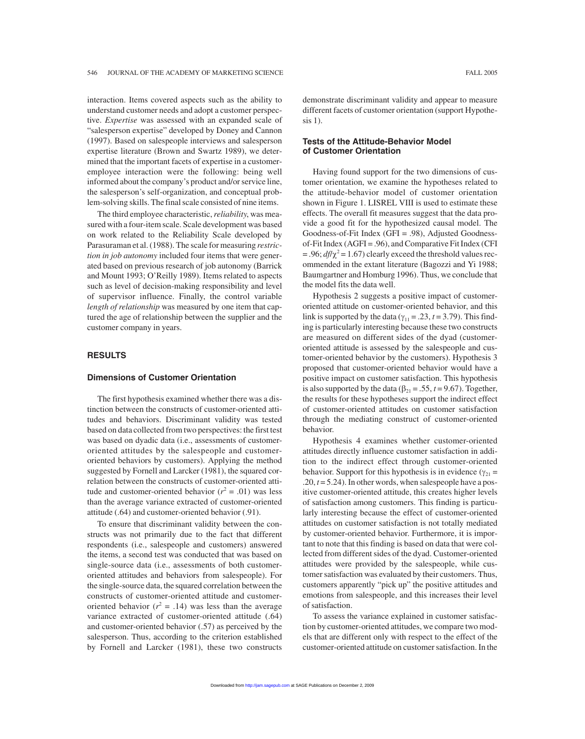interaction. Items covered aspects such as the ability to understand customer needs and adopt a customer perspective. *Expertise* was assessed with an expanded scale of "salesperson expertise" developed by Doney and Cannon (1997). Based on salespeople interviews and salesperson expertise literature (Brown and Swartz 1989), we determined that the important facets of expertise in a customeremployee interaction were the following: being well informed about the company's product and/or service line, the salesperson's self-organization, and conceptual problem-solving skills. The final scale consisted of nine items.

The third employee characteristic,*reliability*, was measured with a four-item scale. Scale development was based on work related to the Reliability Scale developed by Parasuraman et al. (1988). The scale for measuring *restriction in job autonomy* included four items that were generated based on previous research of job autonomy (Barrick and Mount 1993; O'Reilly 1989). Items related to aspects such as level of decision-making responsibility and level of supervisor influence. Finally, the control variable *length of relationship* was measured by one item that captured the age of relationship between the supplier and the customer company in years.

# **RESULTS**

#### **Dimensions of Customer Orientation**

The first hypothesis examined whether there was a distinction between the constructs of customer-oriented attitudes and behaviors. Discriminant validity was tested based on data collected from two perspectives: the first test was based on dyadic data (i.e., assessments of customeroriented attitudes by the salespeople and customeroriented behaviors by customers). Applying the method suggested by Fornell and Larcker (1981), the squared correlation between the constructs of customer-oriented attitude and customer-oriented behavior  $(r^2 = .01)$  was less than the average variance extracted of customer-oriented attitude (.64) and customer-oriented behavior (.91).

To ensure that discriminant validity between the constructs was not primarily due to the fact that different respondents (i.e., salespeople and customers) answered the items, a second test was conducted that was based on single-source data (i.e., assessments of both customeroriented attitudes and behaviors from salespeople). For the single-source data, the squared correlation between the constructs of customer-oriented attitude and customeroriented behavior ( $r^2 = .14$ ) was less than the average variance extracted of customer-oriented attitude (.64) and customer-oriented behavior (.57) as perceived by the salesperson. Thus, according to the criterion established by Fornell and Larcker (1981), these two constructs demonstrate discriminant validity and appear to measure different facets of customer orientation (support Hypothesis 1).

# **Tests of the Attitude-Behavior Model of Customer Orientation**

Having found support for the two dimensions of customer orientation, we examine the hypotheses related to the attitude-behavior model of customer orientation shown in Figure 1. LISREL VIII is used to estimate these effects. The overall fit measures suggest that the data provide a good fit for the hypothesized causal model. The Goodness-of-Fit Index (GFI = .98), Adjusted Goodnessof-Fit Index (AGFI = .96), and Comparative Fit Index (CFI  $= .96$ ;  $df/\chi^2 = 1.67$ ) clearly exceed the threshold values recommended in the extant literature (Bagozzi and Yi 1988; Baumgartner and Homburg 1996). Thus, we conclude that the model fits the data well.

Hypothesis 2 suggests a positive impact of customeroriented attitude on customer-oriented behavior, and this link is supported by the data ( $\gamma_{11} = .23$ ,  $t = 3.79$ ). This finding is particularly interesting because these two constructs are measured on different sides of the dyad (customeroriented attitude is assessed by the salespeople and customer-oriented behavior by the customers). Hypothesis 3 proposed that customer-oriented behavior would have a positive impact on customer satisfaction. This hypothesis is also supported by the data  $(\beta_{21} = .55, t = 9.67)$ . Together, the results for these hypotheses support the indirect effect of customer-oriented attitudes on customer satisfaction through the mediating construct of customer-oriented behavior.

Hypothesis 4 examines whether customer-oriented attitudes directly influence customer satisfaction in addition to the indirect effect through customer-oriented behavior. Support for this hypothesis is in evidence ( $\gamma_{21}$  = .20, *t* = 5.24). In other words, when salespeople have a positive customer-oriented attitude, this creates higher levels of satisfaction among customers. This finding is particularly interesting because the effect of customer-oriented attitudes on customer satisfaction is not totally mediated by customer-oriented behavior. Furthermore, it is important to note that this finding is based on data that were collected from different sides of the dyad. Customer-oriented attitudes were provided by the salespeople, while customer satisfaction was evaluated by their customers. Thus, customers apparently "pick up" the positive attitudes and emotions from salespeople, and this increases their level of satisfaction.

To assess the variance explained in customer satisfaction by customer-oriented attitudes, we compare two models that are different only with respect to the effect of the customer-oriented attitude on customer satisfaction. In the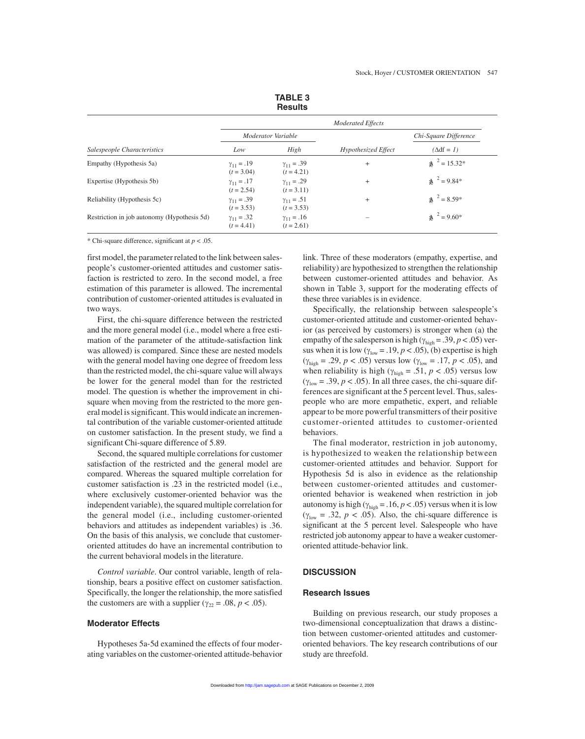|                                             |                                     | nesulls                             |                     |                          |  |  |
|---------------------------------------------|-------------------------------------|-------------------------------------|---------------------|--------------------------|--|--|
|                                             | <b>Moderated Effects</b>            |                                     |                     |                          |  |  |
|                                             |                                     | Moderator Variable                  |                     | Chi-Square Difference    |  |  |
| Salespeople Characteristics                 | Low                                 | High                                | Hypothesized Effect | $(\Delta df = I)$        |  |  |
| Empathy (Hypothesis 5a)                     | $\gamma_{11} = .19$<br>$(t = 3.04)$ | $\gamma_{11} = .39$<br>$(t = 4.21)$ | $^{+}$              | $\text{A}^{2} = 15.32^*$ |  |  |
| Expertise (Hypothesis 5b)                   | $\gamma_{11} = .17$<br>$(t = 2.54)$ | $\gamma_{11} = .29$<br>$(t = 3.11)$ | $^{+}$              | $\lambda^2 = 9.84*$      |  |  |
| Reliability (Hypothesis 5c)                 | $\gamma_{11} = .39$<br>$(t = 3.53)$ | $\gamma_{11} = .51$<br>$(t = 3.53)$ | $^{+}$              | $\text{A}^{2} = 8.59*$   |  |  |
| Restriction in job autonomy (Hypothesis 5d) | $\gamma_{11} = .32$<br>$(t = 4.41)$ | $\gamma_{11} = .16$<br>$(t = 2.61)$ |                     | $\lambda^2 = 9.60^*$     |  |  |

**TABLE 3 Results**

\* Chi-square difference, significant at *p* < .05.

first model, the parameter related to the link between salespeople's customer-oriented attitudes and customer satisfaction is restricted to zero. In the second model, a free estimation of this parameter is allowed. The incremental contribution of customer-oriented attitudes is evaluated in two ways.

First, the chi-square difference between the restricted and the more general model (i.e., model where a free estimation of the parameter of the attitude-satisfaction link was allowed) is compared. Since these are nested models with the general model having one degree of freedom less than the restricted model, the chi-square value will always be lower for the general model than for the restricted model. The question is whether the improvement in chisquare when moving from the restricted to the more general model is significant. This would indicate an incremental contribution of the variable customer-oriented attitude on customer satisfaction. In the present study, we find a significant Chi-square difference of 5.89.

Second, the squared multiple correlations for customer satisfaction of the restricted and the general model are compared. Whereas the squared multiple correlation for customer satisfaction is .23 in the restricted model (i.e., where exclusively customer-oriented behavior was the independent variable), the squared multiple correlation for the general model (i.e., including customer-oriented behaviors and attitudes as independent variables) is .36. On the basis of this analysis, we conclude that customeroriented attitudes do have an incremental contribution to the current behavioral models in the literature.

*Control variable*. Our control variable, length of relationship, bears a positive effect on customer satisfaction. Specifically, the longer the relationship, the more satisfied the customers are with a supplier ( $\gamma_{22} = .08$ ,  $p < .05$ ).

# **Moderator Effects**

Hypotheses 5a-5d examined the effects of four moderating variables on the customer-oriented attitude-behavior link. Three of these moderators (empathy, expertise, and reliability) are hypothesized to strengthen the relationship between customer-oriented attitudes and behavior. As shown in Table 3, support for the moderating effects of these three variables is in evidence.

Specifically, the relationship between salespeople's customer-oriented attitude and customer-oriented behavior (as perceived by customers) is stronger when (a) the empathy of the salesperson is high ( $\gamma_{\text{high}}$  = .39, *p* < .05) versus when it is low  $(\gamma_{low} = .19, p < .05)$ , (b) expertise is high  $(\gamma_{\text{high}} = .29, p < .05)$  versus low  $(\gamma_{\text{low}} = .17, p < .05)$ , and when reliability is high ( $\gamma_{\text{high}} = .51, p < .05$ ) versus low  $(\gamma_{\text{low}} = .39, p < .05)$ . In all three cases, the chi-square differences are significant at the 5 percent level. Thus, salespeople who are more empathetic, expert, and reliable appear to be more powerful transmitters of their positive customer-oriented attitudes to customer-oriented behaviors.

The final moderator, restriction in job autonomy, is hypothesized to weaken the relationship between customer-oriented attitudes and behavior. Support for Hypothesis 5d is also in evidence as the relationship between customer-oriented attitudes and customeroriented behavior is weakened when restriction in job autonomy is high ( $\gamma_{\text{high}} = .16, p < .05$ ) versus when it is low ( $\gamma_{\text{low}} = .32, p < .05$ ). Also, the chi-square difference is significant at the 5 percent level. Salespeople who have restricted job autonomy appear to have a weaker customeroriented attitude-behavior link.

#### **DISCUSSION**

# **Research Issues**

Building on previous research, our study proposes a two-dimensional conceptualization that draws a distinction between customer-oriented attitudes and customeroriented behaviors. The key research contributions of our study are threefold.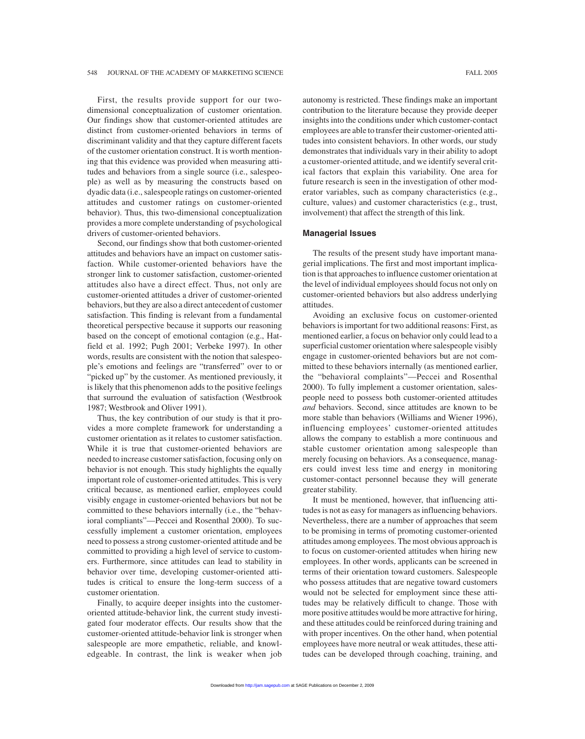First, the results provide support for our twodimensional conceptualization of customer orientation. Our findings show that customer-oriented attitudes are distinct from customer-oriented behaviors in terms of discriminant validity and that they capture different facets of the customer orientation construct. It is worth mentioning that this evidence was provided when measuring attitudes and behaviors from a single source (i.e., salespeople) as well as by measuring the constructs based on dyadic data (i.e., salespeople ratings on customer-oriented attitudes and customer ratings on customer-oriented behavior). Thus, this two-dimensional conceptualization provides a more complete understanding of psychological drivers of customer-oriented behaviors.

Second, our findings show that both customer-oriented attitudes and behaviors have an impact on customer satisfaction. While customer-oriented behaviors have the stronger link to customer satisfaction, customer-oriented attitudes also have a direct effect. Thus, not only are customer-oriented attitudes a driver of customer-oriented behaviors, but they are also a direct antecedent of customer satisfaction. This finding is relevant from a fundamental theoretical perspective because it supports our reasoning based on the concept of emotional contagion (e.g., Hatfield et al. 1992; Pugh 2001; Verbeke 1997). In other words, results are consistent with the notion that salespeople's emotions and feelings are "transferred" over to or "picked up" by the customer. As mentioned previously, it is likely that this phenomenon adds to the positive feelings that surround the evaluation of satisfaction (Westbrook 1987; Westbrook and Oliver 1991).

Thus, the key contribution of our study is that it provides a more complete framework for understanding a customer orientation as it relates to customer satisfaction. While it is true that customer-oriented behaviors are needed to increase customer satisfaction, focusing only on behavior is not enough. This study highlights the equally important role of customer-oriented attitudes. This is very critical because, as mentioned earlier, employees could visibly engage in customer-oriented behaviors but not be committed to these behaviors internally (i.e., the "behavioral compliants"—Peccei and Rosenthal 2000). To successfully implement a customer orientation, employees need to possess a strong customer-oriented attitude and be committed to providing a high level of service to customers. Furthermore, since attitudes can lead to stability in behavior over time, developing customer-oriented attitudes is critical to ensure the long-term success of a customer orientation.

Finally, to acquire deeper insights into the customeroriented attitude-behavior link, the current study investigated four moderator effects. Our results show that the customer-oriented attitude-behavior link is stronger when salespeople are more empathetic, reliable, and knowledgeable. In contrast, the link is weaker when job autonomy is restricted. These findings make an important contribution to the literature because they provide deeper insights into the conditions under which customer-contact employees are able to transfer their customer-oriented attitudes into consistent behaviors. In other words, our study demonstrates that individuals vary in their ability to adopt a customer-oriented attitude, and we identify several critical factors that explain this variability. One area for future research is seen in the investigation of other moderator variables, such as company characteristics (e.g., culture, values) and customer characteristics (e.g., trust, involvement) that affect the strength of this link.

#### **Managerial Issues**

The results of the present study have important managerial implications. The first and most important implication is that approaches to influence customer orientation at the level of individual employees should focus not only on customer-oriented behaviors but also address underlying attitudes.

Avoiding an exclusive focus on customer-oriented behaviors is important for two additional reasons: First, as mentioned earlier, a focus on behavior only could lead to a superficial customer orientation where salespeople visibly engage in customer-oriented behaviors but are not committed to these behaviors internally (as mentioned earlier, the "behavioral complaints"—Peccei and Rosenthal 2000). To fully implement a customer orientation, salespeople need to possess both customer-oriented attitudes *and* behaviors. Second, since attitudes are known to be more stable than behaviors (Williams and Wiener 1996), influencing employees' customer-oriented attitudes allows the company to establish a more continuous and stable customer orientation among salespeople than merely focusing on behaviors. As a consequence, managers could invest less time and energy in monitoring customer-contact personnel because they will generate greater stability.

It must be mentioned, however, that influencing attitudes is not as easy for managers as influencing behaviors. Nevertheless, there are a number of approaches that seem to be promising in terms of promoting customer-oriented attitudes among employees. The most obvious approach is to focus on customer-oriented attitudes when hiring new employees. In other words, applicants can be screened in terms of their orientation toward customers. Salespeople who possess attitudes that are negative toward customers would not be selected for employment since these attitudes may be relatively difficult to change. Those with more positive attitudes would be more attractive for hiring, and these attitudes could be reinforced during training and with proper incentives. On the other hand, when potential employees have more neutral or weak attitudes, these attitudes can be developed through coaching, training, and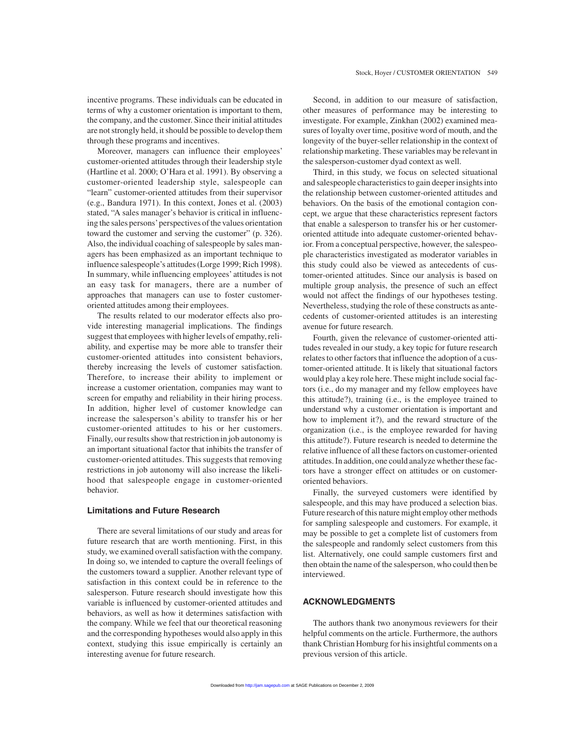incentive programs. These individuals can be educated in terms of why a customer orientation is important to them, the company, and the customer. Since their initial attitudes are not strongly held, it should be possible to develop them through these programs and incentives.

Moreover, managers can influence their employees' customer-oriented attitudes through their leadership style (Hartline et al. 2000; O'Hara et al. 1991). By observing a customer-oriented leadership style, salespeople can "learn" customer-oriented attitudes from their supervisor (e.g., Bandura 1971). In this context, Jones et al. (2003) stated, "A sales manager's behavior is critical in influencing the sales persons'perspectives of the values orientation toward the customer and serving the customer" (p. 326). Also, the individual coaching of salespeople by sales managers has been emphasized as an important technique to influence salespeople's attitudes (Lorge 1999; Rich 1998). In summary, while influencing employees' attitudes is not an easy task for managers, there are a number of approaches that managers can use to foster customeroriented attitudes among their employees.

The results related to our moderator effects also provide interesting managerial implications. The findings suggest that employees with higher levels of empathy, reliability, and expertise may be more able to transfer their customer-oriented attitudes into consistent behaviors, thereby increasing the levels of customer satisfaction. Therefore, to increase their ability to implement or increase a customer orientation, companies may want to screen for empathy and reliability in their hiring process. In addition, higher level of customer knowledge can increase the salesperson's ability to transfer his or her customer-oriented attitudes to his or her customers. Finally, our results show that restriction in job autonomy is an important situational factor that inhibits the transfer of customer-oriented attitudes. This suggests that removing restrictions in job autonomy will also increase the likelihood that salespeople engage in customer-oriented behavior.

# **Limitations and Future Research**

There are several limitations of our study and areas for future research that are worth mentioning. First, in this study, we examined overall satisfaction with the company. In doing so, we intended to capture the overall feelings of the customers toward a supplier. Another relevant type of satisfaction in this context could be in reference to the salesperson. Future research should investigate how this variable is influenced by customer-oriented attitudes and behaviors, as well as how it determines satisfaction with the company. While we feel that our theoretical reasoning and the corresponding hypotheses would also apply in this context, studying this issue empirically is certainly an interesting avenue for future research.

Second, in addition to our measure of satisfaction, other measures of performance may be interesting to investigate. For example, Zinkhan (2002) examined measures of loyalty over time, positive word of mouth, and the longevity of the buyer-seller relationship in the context of relationship marketing. These variables may be relevant in the salesperson-customer dyad context as well.

Third, in this study, we focus on selected situational and salespeople characteristics to gain deeper insights into the relationship between customer-oriented attitudes and behaviors. On the basis of the emotional contagion concept, we argue that these characteristics represent factors that enable a salesperson to transfer his or her customeroriented attitude into adequate customer-oriented behavior. From a conceptual perspective, however, the salespeople characteristics investigated as moderator variables in this study could also be viewed as antecedents of customer-oriented attitudes. Since our analysis is based on multiple group analysis, the presence of such an effect would not affect the findings of our hypotheses testing. Nevertheless, studying the role of these constructs as antecedents of customer-oriented attitudes is an interesting avenue for future research.

Fourth, given the relevance of customer-oriented attitudes revealed in our study, a key topic for future research relates to other factors that influence the adoption of a customer-oriented attitude. It is likely that situational factors would play a key role here. These might include social factors (i.e., do my manager and my fellow employees have this attitude?), training (i.e., is the employee trained to understand why a customer orientation is important and how to implement it?), and the reward structure of the organization (i.e., is the employee rewarded for having this attitude?). Future research is needed to determine the relative influence of all these factors on customer-oriented attitudes. In addition, one could analyze whether these factors have a stronger effect on attitudes or on customeroriented behaviors.

Finally, the surveyed customers were identified by salespeople, and this may have produced a selection bias. Future research of this nature might employ other methods for sampling salespeople and customers. For example, it may be possible to get a complete list of customers from the salespeople and randomly select customers from this list. Alternatively, one could sample customers first and then obtain the name of the salesperson, who could then be interviewed.

# **ACKNOWLEDGMENTS**

The authors thank two anonymous reviewers for their helpful comments on the article. Furthermore, the authors thank Christian Homburg for his insightful comments on a previous version of this article.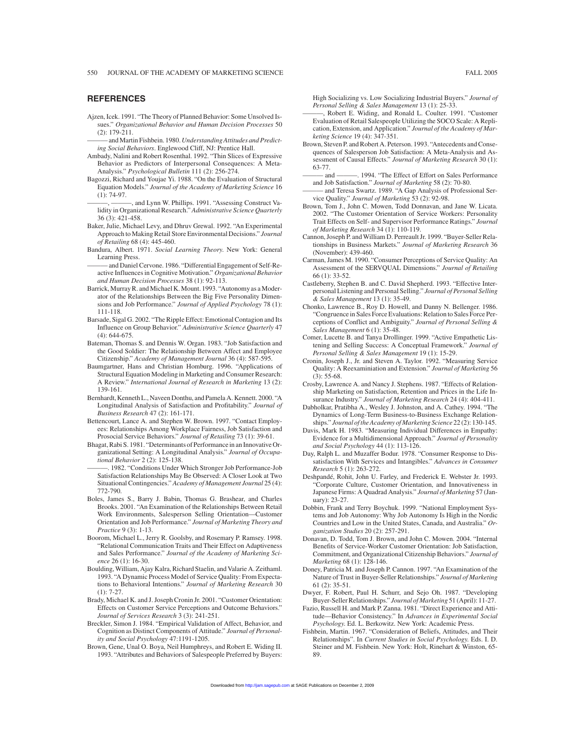# **REFERENCES**

Ajzen, Icek. 1991. "The Theory of Planned Behavior: Some Unsolved Issues." *Organizational Behavior and Human Decision Processes* 50 (2): 179-211.

and Martin Fishbein. 1980. Understanding Attitudes and Predict*ing Social Behaviors*. Englewood Cliff, NJ: Prentice Hall.

- Ambady, Nalini and Robert Rosenthal. 1992. "Thin Slices of Expressive Behavior as Predictors of Interpersonal Consequences: A Meta-Analysis." *Psychological Bulletin* 111 (2): 256-274.
- Bagozzi, Richard and Youjae Yi. 1988. "On the Evaluation of Structural Equation Models." *Journal of the Academy of Marketing Science* 16 (1): 74-97.

-, and Lynn W. Phillips. 1991. "Assessing Construct Validity in Organizational Research." *Administrative Science Quarterly* 36 (3): 421-458.

- Baker, Julie, Michael Levy, and Dhruv Grewal. 1992. "An Experimental Approach to Making Retail Store Environmental Decisions." *Journal of Retailing* 68 (4): 445-460.
- Bandura, Albert. 1971. *Social Learning Theory*. New York: General Learning Press.
- and Daniel Cervone. 1986. "Differential Engagement of Self-Reactive Influences in Cognitive Motivation." *Organizational Behavior and Human Decision Processes* 38 (1): 92-113.
- Barrick, Murray R. and Michael K. Mount. 1993. "Autonomy as a Moderator of the Relationships Between the Big Five Personality Dimensions and Job Performance." *Journal of Applied Psychology* 78 (1): 111-118.
- Barsade, Sigal G. 2002. "The Ripple Effect: Emotional Contagion and Its Influence on Group Behavior." *Administrative Science Quarterly* 47 (4): 644-675.
- Bateman, Thomas S. and Dennis W. Organ. 1983. "Job Satisfaction and the Good Soldier: The Relationship Between Affect and Employee Citizenship." *Academy of Management Journal* 36 (4): 587-595.
- Baumgartner, Hans and Christian Homburg. 1996. "Applications of Structural Equation Modeling in Marketing and Consumer Research: A Review." *International Journal of Research in Marketing* 13 (2): 139-161.
- Bernhardt, Kenneth L., Naveen Donthu, and Pamela A. Kennett. 2000. "A Longitudinal Analysis of Satisfaction and Profitability." *Journal of Business Research* 47 (2): 161-171.
- Bettencourt, Lance A. and Stephen W. Brown. 1997. "Contact Employees: Relationships Among Workplace Fairness, Job Satisfaction and Prosocial Service Behaviors." *Journal of Retailing* 73 (1): 39-61.
- Bhagat, Rabi S. 1981. "Determinants of Performance in an Innovative Organizational Setting: A Longitudinal Analysis." *Journal of Occupational Behavior* 2 (2): 125-138.

1982. "Conditions Under Which Stronger Job Performance-Job Satisfaction Relationships May Be Observed: A Closer Look at Two Situational Contingencies." *Academy of Management Journal* 25 (4): 772-790.

- Boles, James S., Barry J. Babin, Thomas G. Brashear, and Charles Brooks. 2001. "An Examination of the Relationships Between Retail Work Environments, Salesperson Selling Orientation—Customer Orientation and Job Performance." *Journal of Marketing Theory and Practice* 9 (3): 1-13.
- Boorom, Michael L., Jerry R. Goolsby, and Rosemary P. Ramsey. 1998. "Relational Communication Traits and Their Effect on Adaptiveness and Sales Performance." *Journal of the Academy of Marketing Science* 26 (1): 16-30.
- Boulding, William, Ajay Kalra, Richard Staelin, and Valarie A. Zeithaml. 1993. "A Dynamic Process Model of Service Quality: From Expectations to Behavioral Intentions." *Journal of Marketing Research* 30 (1): 7-27.
- Brady, Michael K. and J. Joseph Cronin Jr. 2001. "Customer Orientation: Effects on Customer Service Perceptions and Outcome Behaviors." *Journal of Services Research* 3 (3): 241-251.
- Breckler, Simon J. 1984. "Empirical Validation of Affect, Behavior, and Cognition as Distinct Components of Attitude." *Journal of Personality and Social Psychology* 47:1191-1205.
- Brown, Gene, Unal O. Boya, Neil Humphreys, and Robert E. Widing II. 1993. "Attributes and Behaviors of Salespeople Preferred by Buyers:

High Socializing vs. Low Socializing Industrial Buyers." *Journal of Personal Selling & Sales Management* 13 (1): 25-33.

- Robert E. Widing, and Ronald L. Coulter. 1991. "Customer Evaluation of Retail Salespeople Utilizing the SOCO Scale: A Replication, Extension, and Application." *Journal of the Academy of Marketing Science* 19 (4): 347-351.
- Brown, Steven P. and Robert A. Peterson. 1993. "Antecedents and Consequences of Salesperson Job Satisfaction: A Meta-Analysis and Assessment of Causal Effects." *Journal of Marketing Research* 30 (1): 63-77.
- and ———. 1994. "The Effect of Effort on Sales Performance and Job Satisfaction." *Journal of Marketing* 58 (2): 70-80.
- ——— and Teresa Swartz. 1989. "A Gap Analysis of Professional Service Quality." *Journal of Marketing* 53 (2): 92-98.
- Brown, Tom J., John C. Mowen, Todd Donnavan, and Jane W. Licata. 2002. "The Customer Orientation of Service Workers: Personality Trait Effects on Self- and Supervisor Performance Ratings." *Journal of Marketing Research* 34 (1): 110-119.
- Cannon, Joseph P. and William D. Perreault Jr. 1999. "Buyer-Seller Relationships in Business Markets." *Journal of Marketing Research* 36 (November): 439-460.
- Carman, James M. 1990. "Consumer Perceptions of Service Quality: An Assessment of the SERVQUAL Dimensions." *Journal of Retailing* 66 (1): 33-52.
- Castleberry, Stephen B. and C. David Shepherd. 1993. "Effective Interpersonal Listening and Personal Selling." *Journal of Personal Selling & Sales Management* 13 (1): 35-49.
- Chonko, Lawrence B., Roy D. Howell, and Danny N. Bellenger. 1986. "Congruence in Sales Force Evaluations: Relation to Sales Force Perceptions of Conflict and Ambiguity." *Journal of Personal Selling & Sales Management* 6 (1): 35-48.
- Comer, Lucette B. and Tanya Drollinger. 1999. "Active Empathetic Listening and Selling Success: A Conceptual Framework." *Journal of Personal Selling & Sales Management* 19 (1): 15-29.
- Cronin, Joseph J., Jr. and Steven A. Taylor. 1992. "Measuring Service Quality: A Reexaminiation and Extension." *Journal of Marketing* 56 (3): 55-68.
- Crosby, Lawrence A. and Nancy J. Stephens. 1987. "Effects of Relationship Marketing on Satisfaction, Retention and Prices in the Life Insurance Industry." *Journal of Marketing Research* 24 (4): 404-411.
- Dabholkar, Pratibha A., Wesley J. Johnston, and A. Cathey. 1994. "The Dynamics of Long-Term Business-to-Business Exchange Relationships." *Journal of the Academy of Marketing Science* 22 (2): 130-145.
- Davis, Mark H. 1983. "Measuring Individual Differences in Empathy: Evidence for a Multidimensional Approach." *Journal of Personality and Social Psychology* 44 (1): 113-126.
- Day, Ralph L. and Muzaffer Bodur. 1978. "Consumer Response to Dissatisfaction With Services and Intangibles." *Advances in Consumer Research* 5 (1): 263-272.
- Deshpandé, Rohit, John U. Farley, and Frederick E. Webster Jr. 1993. "Corporate Culture, Customer Orientation, and Innovativeness in Japanese Firms: A Quadrad Analysis." *Journal of Marketing* 57 (January): 23-27.
- Dobbin, Frank and Terry Boychuk. 1999. "National Employment Systems and Job Autonomy: Why Job Autonomy Is High in the Nordic Countries and Low in the United States, Canada, and Australia." *Organization Studies* 20 (2): 257-291.
- Donavan, D. Todd, Tom J. Brown, and John C. Mowen. 2004. "Internal Benefits of Service-Worker Customer Orientation: Job Satisfaction, Commitment, and Organizational Citizenship Behaviors." *Journal of Marketing* 68 (1): 128-146.
- Doney, Patricia M. and Joseph P. Cannon. 1997. "An Examination of the Nature of Trust in Buyer-Seller Relationships." *Journal of Marketing* 61 (2): 35-51.
- Dwyer, F. Robert, Paul H. Schurr, and Sejo Oh. 1987. "Developing Buyer-Seller Relationships." *Journal of Marketing* 51 (April): 11-27.
- Fazio, Russell H. and Mark P. Zanna. 1981. "Direct Experience and Attitude—Behavior Consistency." In *Advances in Experimental Social Psychology*. Ed. L. Berkowitz. New York: Academic Press.
- Fishbein, Martin. 1967. "Consideration of Beliefs, Attitudes, and Their Relationships". In *Current Studies in Social Psychology*. Eds. I. D. Steiner and M. Fishbein. New York: Holt, Rinehart & Winston, 65- 89.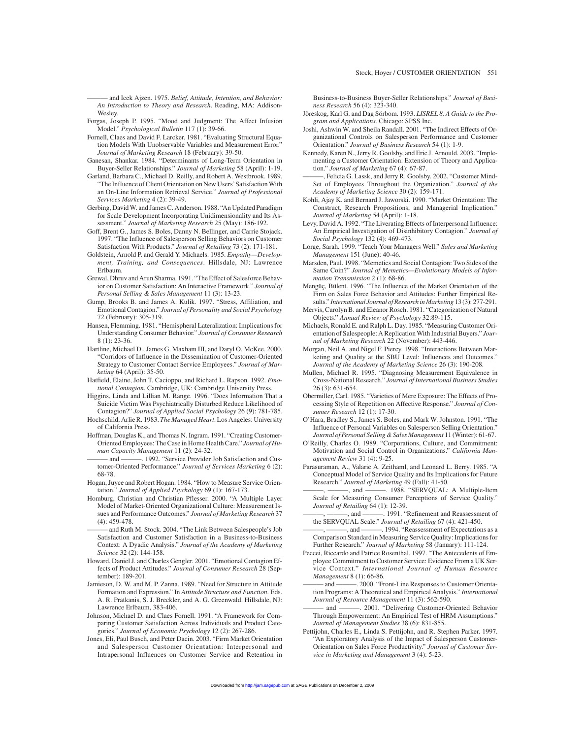——— and Icek Ajzen. 1975. *Belief, Attitude, Intention, and Behavior: An Introduction to Theory and Research*. Reading, MA: Addison-Wesley.

- Forgas, Joseph P. 1995. "Mood and Judgment: The Affect Infusion Model." *Psychological Bulletin* 117 (1): 39-66.
- Fornell, Claes and David F. Larcker. 1981. "Evaluating Structural Equation Models With Unobservable Variables and Measurement Error." *Journal of Marketing Research* 18 (February): 39-50.
- Ganesan, Shankar. 1984. "Determinants of Long-Term Orientation in Buyer-Seller Relationships." *Journal of Marketing* 58 (April): 1-19.
- Garland, Barbara C., Michael D. Reilly, and Robert A. Westbrook. 1989. "The Influence of Client Orientation on New Users'Satisfaction With an On-Line Information Retrieval Service." *Journal of Professional Services Marketing* 4 (2): 39-49.
- Gerbing, David W. and James C. Anderson. 1988. "An Updated Paradigm for Scale Development Incorporating Unidimensionality and Its Assessment." *Journal of Marketing Research* 25 (May): 186-192.
- Goff, Brent G., James S. Boles, Danny N. Bellinger, and Carrie Stojack. 1997. "The Influence of Salesperson Selling Behaviors on Customer Satisfaction With Products." *Journal of Retailing* 73 (2): 171-181.
- Goldstein, Arnold P. and Gerald Y. Michaels. 1985. *Empathy—Development, Training, and Consequences*. Hillsdale, NJ: Lawrence Erlbaum.
- Grewal, Dhruv and Arun Sharma. 1991. "The Effect of Salesforce Behavior on Customer Satisfaction: An Interactive Framework." *Journal of Personal Selling & Sales Management* 11 (3): 13-23.
- Gump, Brooks B. and James A. Kulik. 1997. "Stress, Affiliation, and Emotional Contagion." *Journal of Personality and Social Psychology* 72 (February): 305-319.
- Hansen, Flemming. 1981. "Hemispheral Lateralization: Implications for Understanding Consumer Behavior." *Journal of Consumer Research* 8 (1): 23-36.
- Hartline, Michael D., James G. Maxham III, and Daryl O. McKee. 2000. "Corridors of Influence in the Dissemination of Customer-Oriented Strategy to Customer Contact Service Employees." *Journal of Marketing* 64 (April): 35-50.
- Hatfield, Elaine, John T. Cacioppo, and Richard L. Rapson. 1992. *Emotional Contagion*. Cambridge, UK: Cambridge University Press.
- Higgins, Linda and Lillian M. Range. 1996. "Does Information That a Suicide Victim Was Psychiatrically Disturbed Reduce Likelihood of Contagion?" *Journal of Applied Social Psychology* 26 (9): 781-785.
- Hochschild, Arlie R. 1983. *The Managed Heart*. Los Angeles: University of California Press.
- Hoffman, Douglas K., and Thomas N. Ingram. 1991. "Creating Customer-Oriented Employees: The Case in Home Health Care." *Journal of Human Capacity Management* 11 (2): 24-32.
- and ———. 1992. "Service Provider Job Satisfaction and Customer-Oriented Performance." *Journal of Services Marketing* 6 (2): 68-78.
- Hogan, Juyce and Robert Hogan. 1984. "How to Measure Service Orientation." *Journal of Applied Psychology* 69 (1): 167-173.
- Homburg, Christian and Christian Pflesser. 2000. "A Multiple Layer Model of Market-Oriented Organizational Culture: Measurement Issues and Performance Outcomes." *Journal of Marketing Research* 37 (4): 459-478.
- and Ruth M. Stock. 2004. "The Link Between Salespeople's Job Satisfaction and Customer Satisfaction in a Business-to-Business Context: A Dyadic Analysis." *Journal of the Academy of Marketing Science* 32 (2): 144-158.
- Howard, Daniel J. and Charles Gengler. 2001. "Emotional Contagion Effects of Product Attitudes." *Journal of Consumer Research* 28 (September): 189-201.
- Jamieson, D. W. and M. P. Zanna. 1989. "Need for Structure in Attitude Formation and Expression." In *Attitude Structure and Function*. Eds. A. R. Pratkanis, S. J. Breckler, and A. G. Greenwald. Hillsdale, NJ: Lawrence Erlbaum, 383-406.
- Johnson, Michael D. and Claes Fornell. 1991. "A Framework for Comparing Customer Satisfaction Across Individuals and Product Categories." *Journal of Economic Psychology* 12 (2): 267-286.
- Jones, Eli, Paul Busch, and Peter Dacin. 2003. "Firm Market Orientation and Salesperson Customer Orientation: Interpersonal and Intrapersonal Influences on Customer Service and Retention in

Business-to-Business Buyer-Seller Relationships." *Journal of Business Research* 56 (4): 323-340.

- Jöreskog, Karl G. and Dag Sörbom. 1993. *LISREL 8, A Guide to the Program and Applications*. Chicago: SPSS Inc.
- Joshi, Ashwin W. and Sheila Randall. 2001. "The Indirect Effects of Organizational Controls on Salesperson Performance and Customer Orientation." *Journal of Business Research* 54 (1): 1-9.
- Kennedy, Karen N., Jerry R. Goolsby, and Eric J. Arnould. 2003. "Implementing a Customer Orientation: Extension of Theory and Application." *Journal of Marketing* 67 (4): 67-87.
- ———, Felicia G. Lassk, and Jerry R. Goolsby. 2002. "Customer Mind-Set of Employees Throughout the Organization." *Journal of the Academy of Marketing Science* 30 (2): 159-171.
- Kohli, Ajay K. and Bernard J. Jaworski. 1990. "Market Orientation: The Construct, Research Propositions, and Managerial Implication." *Journal of Marketing* 54 (April): 1-18.
- Levy, David A. 1992. "The Liverating Effects of Interpersonal Influence: An Empirical Investigation of Disinhibitory Contagion." *Journal of Social Psychology* 132 (4): 469-473.
- Lorge, Sarah. 1999. "Teach Your Managers Well." *Sales and Marketing Management* 151 (June): 40-46.
- Marsden, Paul. 1998. "Memetics and Social Contagion: Two Sides of the Same Coin?" *Journal of Memetics—Evolutionary Models of Information Transmission* 2 (1): 68-86.
- Mengüç, Bülent. 1996. "The Influence of the Market Orientation of the Firm on Sales Force Behavior and Attitudes: Further Empirical Results." *International Journal of Research in Marketing* 13 (3): 277-291.
- Mervis, Carolyn B. and Eleanor Rosch. 1981. "Categorization of Natural Objects." *Annual Review of Psychology* 32:89-115.
- Michaels, Ronald E. and Ralph L. Day. 1985. "Measuring Customer Orientation of Salespeople: A Replication With Industrial Buyers." *Journal of Marketing Research* 22 (November): 443-446.
- Morgan, Neil A. and Nigel F. Piercy. 1998. "Interactions Between Marketing and Quality at the SBU Level: Influences and Outcomes." *Journal of the Academy of Marketing Science* 26 (3): 190-208.
- Mullen, Michael R. 1995. "Diagnosing Measurement Equivalence in Cross-National Research." *Journal of International Business Studies* 26 (3): 631-654.
- Obermiller, Carl. 1985. "Varieties of Mere Exposure: The Effects of Processing Style of Repetition on Affective Response." *Journal of Consumer Research* 12 (1): 17-30.
- O'Hara, Bradley S., James S. Boles, and Mark W. Johnston. 1991. "The Influence of Personal Variables on Salesperson Selling Orientation." *Journal of Personal Selling & Sales Management* 11 (Winter): 61-67.
- O'Reilly, Charles O. 1989. "Corporations, Culture, and Commitment: Motivation and Social Control in Organizations." *California Management Review* 31 (4): 9-25.
- Parasuraman, A., Valarie A. Zeithaml, and Leonard L. Berry. 1985. "A Conceptual Model of Service Quality and Its Implications for Future Research." *Journal of Marketing* 49 (Fall): 41-50.
- -, and ———. 1988. "SERVQUAL: A Multiple-Item Scale for Measuring Consumer Perceptions of Service Quality." *Journal of Retailing* 64 (1): 12-39.
- and ———, 1991. "Refinement and Reassessment of the SERVQUAL Scale." *Journal of Retailing* 67 (4): 421-450.
- -, and ———, 1994. "Reassessment of Expectations as a Comparison Standard in Measuring Service Quality: Implications for Further Research." *Journal of Marketing* 58 (January): 111-124.
- Peccei, Riccardo and Patrice Rosenthal. 1997. "The Antecedents of Employee Commitment to Customer Service: Evidence From a UK Service Context." *International Journal of Human Resource Management* 8 (1): 66-86.
- ——— and ———. 2000. "Front-Line Responses to Customer Orientation Programs: A Theoretical and Empirical Analysis." *International Journal of Resource Management* 11 (3): 562-590.
- and 2001. "Delivering Customer-Oriented Behavior Through Empowerment: An Empirical Test of HRM Assumptions." *Journal of Management Studies* 38 (6): 831-855.
- Pettijohn, Charles E., Linda S. Pettijohn, and R. Stephen Parker. 1997. "An Exploratory Analysis of the Impact of Salesperson Customer-Orientation on Sales Force Productivity." *Journal of Customer Service in Marketing and Management* 3 (4): 5-23.